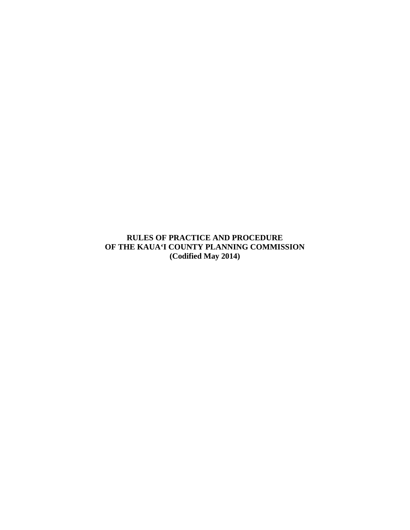**RULES OF PRACTICE AND PROCEDURE OF THE KAUA'I COUNTY PLANNING COMMISSION (Codified May 2014)**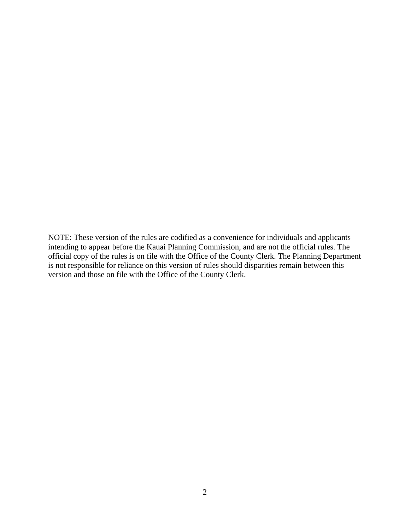NOTE: These version of the rules are codified as a convenience for individuals and applicants intending to appear before the Kauai Planning Commission, and are not the official rules. The official copy of the rules is on file with the Office of the County Clerk. The Planning Department is not responsible for reliance on this version of rules should disparities remain between this version and those on file with the Office of the County Clerk.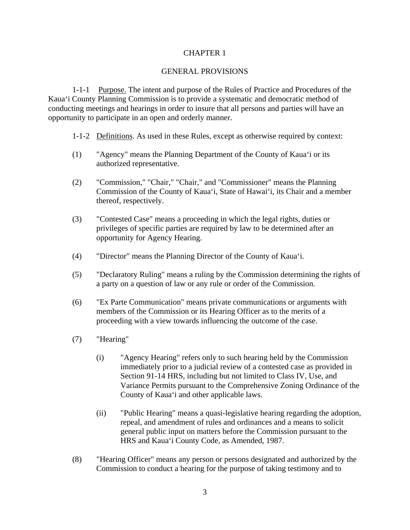### GENERAL PROVISIONS

1-1-1 Purpose. The intent and purpose of the Rules of Practice and Procedures of the Kaua'i County Planning Commission is to provide a systematic and democratic method of conducting meetings and hearings in order to insure that all persons and parties will have an opportunity to participate in an open and orderly manner.

- 1-1-2 Definitions. As used in these Rules, except as otherwise required by context:
- (1) "Agency" means the Planning Department of the County of Kaua'i or its authorized representative.
- (2) "Commission," "Chair," "Chair," and "Commissioner" means the Planning Commission of the County of Kaua'i, State of Hawai'i, its Chair and a member thereof, respectively.
- (3) "Contested Case" means a proceeding in which the legal rights, duties or privileges of specific parties are required by law to be determined after an opportunity for Agency Hearing.
- (4) "Director" means the Planning Director of the County of Kaua'i.
- (5) "Declaratory Ruling" means a ruling by the Commission determining the rights of a party on a question of law or any rule or order of the Commission.
- (6) "Ex Parte Communication" means private communications or arguments with members of the Commission or its Hearing Officer as to the merits of a proceeding with a view towards influencing the outcome of the case.
- (7) "Hearing"
	- (i) "Agency Hearing" refers only to such hearing held by the Commission immediately prior to a judicial review of a contested case as provided in Section 91-14 HRS, including but not limited to Class IV, Use, and Variance Permits pursuant to the Comprehensive Zoning Ordinance of the County of Kaua'i and other applicable laws.
	- (ii) "Public Hearing" means a quasi-legislative hearing regarding the adoption, repeal, and amendment of rules and ordinances and a means to solicit general public input on matters before the Commission pursuant to the HRS and Kaua'i County Code, as Amended, 1987.
- (8) "Hearing Officer" means any person or persons designated and authorized by the Commission to conduct a hearing for the purpose of taking testimony and to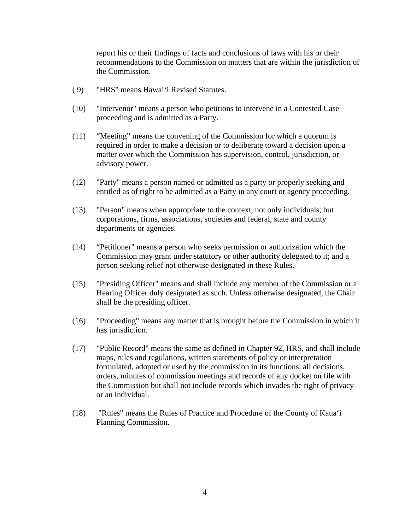report his or their findings of facts and conclusions of laws with his or their recommendations to the Commission on matters that are within the jurisdiction of the Commission.

- ( 9) "HRS" means Hawai'i Revised Statutes.
- (10) "Intervenor" means a person who petitions to intervene in a Contested Case proceeding and is admitted as a Party.
- (11) "Meeting" means the convening of the Commission for which a quorum is required in order to make a decision or to deliberate toward a decision upon a matter over which the Commission has supervision, control, jurisdiction, or advisory power.
- (12) "Party" means a person named or admitted as a party or properly seeking and entitled as of right to be admitted as a Party in any court or agency proceeding.
- (13) "Person" means when appropriate to the context, not only individuals, but corporations, firms, associations, societies and federal, state and county departments or agencies.
- (14) "Petitioner" means a person who seeks permission or authorization which the Commission may grant under statutory or other authority delegated to it; and a person seeking relief not otherwise designated in these Rules.
- (15) "Presiding Officer" means and shall include any member of the Commission or a Hearing Officer duly designated as such. Unless otherwise designated, the Chair shall be the presiding officer.
- (16) "Proceeding" means any matter that is brought before the Commission in which it has jurisdiction.
- (17) "Public Record" means the same as defined in Chapter 92, HRS, and shall include maps, rules and regulations, written statements of policy or interpretation formulated, adopted or used by the commission in its functions, all decisions, orders, minutes of commission meetings and records of any docket on file with the Commission but shall not include records which invades the right of privacy or an individual.
- (18) "Rules" means the Rules of Practice and Procedure of the County of Kaua'i Planning Commission.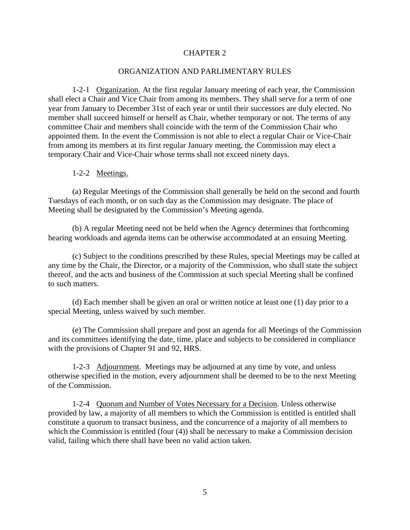#### ORGANIZATION AND PARLIMENTARY RULES

1-2-1 Organization. At the first regular January meeting of each year, the Commission shall elect a Chair and Vice Chair from among its members. They shall serve for a term of one year from January to December 31st of each year or until their successors are duly elected. No member shall succeed himself or herself as Chair, whether temporary or not. The terms of any committee Chair and members shall coincide with the term of the Commission Chair who appointed them. In the event the Commission is not able to elect a regular Chair or Vice-Chair from among its members at its first regular January meeting, the Commission may elect a temporary Chair and Vice-Chair whose terms shall not exceed ninety days.

#### 1-2-2 Meetings.

(a) Regular Meetings of the Commission shall generally be held on the second and fourth Tuesdays of each month, or on such day as the Commission may designate. The place of Meeting shall be designated by the Commission's Meeting agenda.

(b) A regular Meeting need not be held when the Agency determines that forthcoming hearing workloads and agenda items can be otherwise accommodated at an ensuing Meeting.

(c) Subject to the conditions prescribed by these Rules, special Meetings may be called at any time by the Chair, the Director, or a majority of the Commission, who shall state the subject thereof, and the acts and business of the Commission at such special Meeting shall be confined to such matters.

(d) Each member shall be given an oral or written notice at least one (1) day prior to a special Meeting, unless waived by such member.

(e) The Commission shall prepare and post an agenda for all Meetings of the Commission and its committees identifying the date, time, place and subjects to be considered in compliance with the provisions of Chapter 91 and 92, HRS.

1-2-3 Adjournment. Meetings may be adjourned at any time by vote, and unless otherwise specified in the motion, every adjournment shall be deemed to be to the next Meeting of the Commission.

1-2-4 Quorum and Number of Votes Necessary for a Decision. Unless otherwise provided by law, a majority of all members to which the Commission is entitled is entitled shall constitute a quorum to transact business, and the concurrence of a majority of all members to which the Commission is entitled (four (4)) shall be necessary to make a Commission decision valid, failing which there shall have been no valid action taken.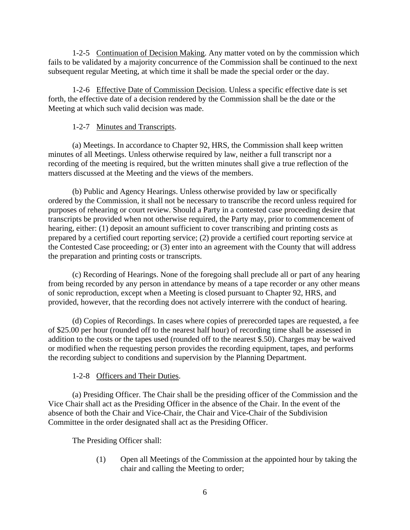1-2-5 Continuation of Decision Making. Any matter voted on by the commission which fails to be validated by a majority concurrence of the Commission shall be continued to the next subsequent regular Meeting, at which time it shall be made the special order or the day.

1-2-6 Effective Date of Commission Decision. Unless a specific effective date is set forth, the effective date of a decision rendered by the Commission shall be the date or the Meeting at which such valid decision was made.

# 1-2-7 Minutes and Transcripts.

(a) Meetings. In accordance to Chapter 92, HRS, the Commission shall keep written minutes of all Meetings. Unless otherwise required by law, neither a full transcript nor a recording of the meeting is required, but the written minutes shall give a true reflection of the matters discussed at the Meeting and the views of the members.

(b) Public and Agency Hearings. Unless otherwise provided by law or specifically ordered by the Commission, it shall not be necessary to transcribe the record unless required for purposes of rehearing or court review. Should a Party in a contested case proceeding desire that transcripts be provided when not otherwise required, the Party may, prior to commencement of hearing, either: (1) deposit an amount sufficient to cover transcribing and printing costs as prepared by a certified court reporting service; (2) provide a certified court reporting service at the Contested Case proceeding; or (3) enter into an agreement with the County that will address the preparation and printing costs or transcripts.

(c) Recording of Hearings. None of the foregoing shall preclude all or part of any hearing from being recorded by any person in attendance by means of a tape recorder or any other means of sonic reproduction, except when a Meeting is closed pursuant to Chapter 92, HRS, and provided, however, that the recording does not actively interrere with the conduct of hearing.

(d) Copies of Recordings. In cases where copies of prerecorded tapes are requested, a fee of \$25.00 per hour (rounded off to the nearest half hour) of recording time shall be assessed in addition to the costs or the tapes used (rounded off to the nearest \$.50). Charges may be waived or modified when the requesting person provides the recording equipment, tapes, and performs the recording subject to conditions and supervision by the Planning Department.

# 1-2-8 Officers and Their Duties.

(a) Presiding Officer. The Chair shall be the presiding officer of the Commission and the Vice Chair shall act as the Presiding Officer in the absence of the Chair. In the event of the absence of both the Chair and Vice-Chair, the Chair and Vice-Chair of the Subdivision Committee in the order designated shall act as the Presiding Officer.

The Presiding Officer shall:

(1) Open all Meetings of the Commission at the appointed hour by taking the chair and calling the Meeting to order;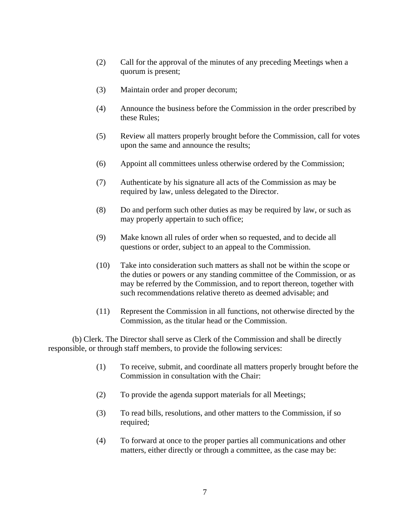- (2) Call for the approval of the minutes of any preceding Meetings when a quorum is present;
- (3) Maintain order and proper decorum;
- (4) Announce the business before the Commission in the order prescribed by these Rules;
- (5) Review all matters properly brought before the Commission, call for votes upon the same and announce the results;
- (6) Appoint all committees unless otherwise ordered by the Commission;
- (7) Authenticate by his signature all acts of the Commission as may be required by law, unless delegated to the Director.
- (8) Do and perform such other duties as may be required by law, or such as may properly appertain to such office;
- (9) Make known all rules of order when so requested, and to decide all questions or order, subject to an appeal to the Commission.
- (10) Take into consideration such matters as shall not be within the scope or the duties or powers or any standing committee of the Commission, or as may be referred by the Commission, and to report thereon, together with such recommendations relative thereto as deemed advisable; and
- (11) Represent the Commission in all functions, not otherwise directed by the Commission, as the titular head or the Commission.

(b) Clerk. The Director shall serve as Clerk of the Commission and shall be directly responsible, or through staff members, to provide the following services:

- (1) To receive, submit, and coordinate all matters properly brought before the Commission in consultation with the Chair:
- (2) To provide the agenda support materials for all Meetings;
- (3) To read bills, resolutions, and other matters to the Commission, if so required;
- (4) To forward at once to the proper parties all communications and other matters, either directly or through a committee, as the case may be: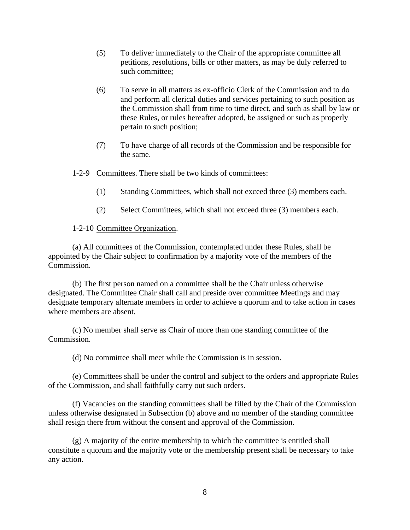- (5) To deliver immediately to the Chair of the appropriate committee all petitions, resolutions, bills or other matters, as may be duly referred to such committee;
- (6) To serve in all matters as ex-officio Clerk of the Commission and to do and perform all clerical duties and services pertaining to such position as the Commission shall from time to time direct, and such as shall by law or these Rules, or rules hereafter adopted, be assigned or such as properly pertain to such position;
- (7) To have charge of all records of the Commission and be responsible for the same.
- 1-2-9 Committees. There shall be two kinds of committees:
	- (1) Standing Committees, which shall not exceed three (3) members each.
	- (2) Select Committees, which shall not exceed three (3) members each.

### 1-2-10 Committee Organization.

(a) All committees of the Commission, contemplated under these Rules, shall be appointed by the Chair subject to confirmation by a majority vote of the members of the Commission.

(b) The first person named on a committee shall be the Chair unless otherwise designated. The Committee Chair shall call and preside over committee Meetings and may designate temporary alternate members in order to achieve a quorum and to take action in cases where members are absent.

(c) No member shall serve as Chair of more than one standing committee of the Commission.

(d) No committee shall meet while the Commission is in session.

(e) Committees shall be under the control and subject to the orders and appropriate Rules of the Commission, and shall faithfully carry out such orders.

(f) Vacancies on the standing committees shall be filled by the Chair of the Commission unless otherwise designated in Subsection (b) above and no member of the standing committee shall resign there from without the consent and approval of the Commission.

(g) A majority of the entire membership to which the committee is entitled shall constitute a quorum and the majority vote or the membership present shall be necessary to take any action.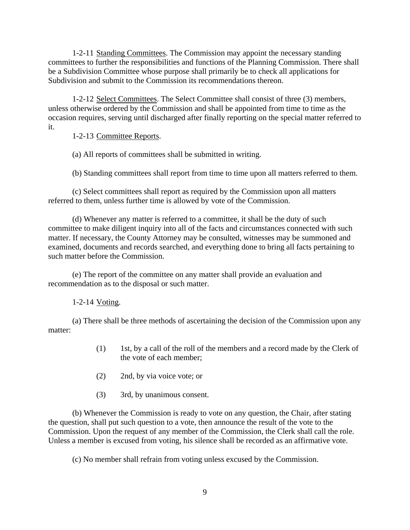1-2-11 Standing Committees. The Commission may appoint the necessary standing committees to further the responsibilities and functions of the Planning Commission. There shall be a Subdivision Committee whose purpose shall primarily be to check all applications for Subdivision and submit to the Commission its recommendations thereon.

1-2-12 Select Committees. The Select Committee shall consist of three (3) members, unless otherwise ordered by the Commission and shall be appointed from time to time as the occasion requires, serving until discharged after finally reporting on the special matter referred to it.

1-2-13 Committee Reports.

(a) All reports of committees shall be submitted in writing.

(b) Standing committees shall report from time to time upon all matters referred to them.

(c) Select committees shall report as required by the Commission upon all matters referred to them, unless further time is allowed by vote of the Commission.

(d) Whenever any matter is referred to a committee, it shall be the duty of such committee to make diligent inquiry into all of the facts and circumstances connected with such matter. If necessary, the County Attorney may be consulted, witnesses may be summoned and examined, documents and records searched, and everything done to bring all facts pertaining to such matter before the Commission.

(e) The report of the committee on any matter shall provide an evaluation and recommendation as to the disposal or such matter.

1-2-14 Voting.

(a) There shall be three methods of ascertaining the decision of the Commission upon any matter:

- (1) 1st, by a call of the roll of the members and a record made by the Clerk of the vote of each member;
- (2) 2nd, by via voice vote; or
- (3) 3rd, by unanimous consent.

(b) Whenever the Commission is ready to vote on any question, the Chair, after stating the question, shall put such question to a vote, then announce the result of the vote to the Commission. Upon the request of any member of the Commission, the Clerk shall call the role. Unless a member is excused from voting, his silence shall be recorded as an affirmative vote.

(c) No member shall refrain from voting unless excused by the Commission.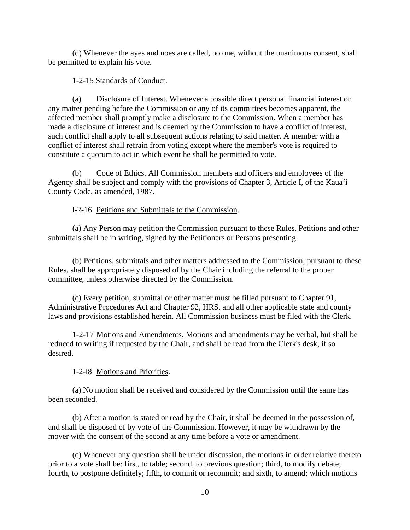(d) Whenever the ayes and noes are called, no one, without the unanimous consent, shall be permitted to explain his vote.

# 1-2-15 Standards of Conduct.

(a) Disclosure of Interest. Whenever a possible direct personal financial interest on any matter pending before the Commission or any of its committees becomes apparent, the affected member shall promptly make a disclosure to the Commission. When a member has made a disclosure of interest and is deemed by the Commission to have a conflict of interest, such conflict shall apply to all subsequent actions relating to said matter. A member with a conflict of interest shall refrain from voting except where the member's vote is required to constitute a quorum to act in which event he shall be permitted to vote.

(b) Code of Ethics. All Commission members and officers and employees of the Agency shall be subject and comply with the provisions of Chapter 3, Article I, of the Kaua'i County Code, as amended, 1987.

# l-2-16 Petitions and Submittals to the Commission.

(a) Any Person may petition the Commission pursuant to these Rules. Petitions and other submittals shall be in writing, signed by the Petitioners or Persons presenting.

(b) Petitions, submittals and other matters addressed to the Commission, pursuant to these Rules, shall be appropriately disposed of by the Chair including the referral to the proper committee, unless otherwise directed by the Commission.

(c) Every petition, submittal or other matter must be filled pursuant to Chapter 91, Administrative Procedures Act and Chapter 92, HRS, and all other applicable state and county laws and provisions established herein. All Commission business must be filed with the Clerk.

1-2-17 Motions and Amendments. Motions and amendments may be verbal, but shall be reduced to writing if requested by the Chair, and shall be read from the Clerk's desk, if so desired.

1-2-l8 Motions and Priorities.

(a) No motion shall be received and considered by the Commission until the same has been seconded.

(b) After a motion is stated or read by the Chair, it shall be deemed in the possession of, and shall be disposed of by vote of the Commission. However, it may be withdrawn by the mover with the consent of the second at any time before a vote or amendment.

(c) Whenever any question shall be under discussion, the motions in order relative thereto prior to a vote shall be: first, to table; second, to previous question; third, to modify debate; fourth, to postpone definitely; fifth, to commit or recommit; and sixth, to amend; which motions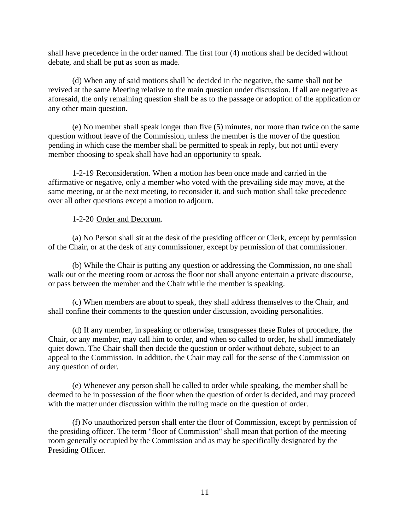shall have precedence in the order named. The first four (4) motions shall be decided without debate, and shall be put as soon as made.

(d) When any of said motions shall be decided in the negative, the same shall not be revived at the same Meeting relative to the main question under discussion. If all are negative as aforesaid, the only remaining question shall be as to the passage or adoption of the application or any other main question.

 (e) No member shall speak longer than five (5) minutes, nor more than twice on the same question without leave of the Commission, unless the member is the mover of the question pending in which case the member shall be permitted to speak in reply, but not until every member choosing to speak shall have had an opportunity to speak.

1-2-19 Reconsideration. When a motion has been once made and carried in the affirmative or negative, only a member who voted with the prevailing side may move, at the same meeting, or at the next meeting, to reconsider it, and such motion shall take precedence over all other questions except a motion to adjourn.

#### 1-2-20 Order and Decorum.

(a) No Person shall sit at the desk of the presiding officer or Clerk, except by permission of the Chair, or at the desk of any commissioner, except by permission of that commissioner.

(b) While the Chair is putting any question or addressing the Commission, no one shall walk out or the meeting room or across the floor nor shall anyone entertain a private discourse, or pass between the member and the Chair while the member is speaking.

(c) When members are about to speak, they shall address themselves to the Chair, and shall confine their comments to the question under discussion, avoiding personalities.

(d) If any member, in speaking or otherwise, transgresses these Rules of procedure, the Chair, or any member, may call him to order, and when so called to order, he shall immediately quiet down. The Chair shall then decide the question or order without debate, subject to an appeal to the Commission. In addition, the Chair may call for the sense of the Commission on any question of order.

(e) Whenever any person shall be called to order while speaking, the member shall be deemed to be in possession of the floor when the question of order is decided, and may proceed with the matter under discussion within the ruling made on the question of order.

(f) No unauthorized person shall enter the floor of Commission, except by permission of the presiding officer. The term "floor of Commission" shall mean that portion of the meeting room generally occupied by the Commission and as may be specifically designated by the Presiding Officer.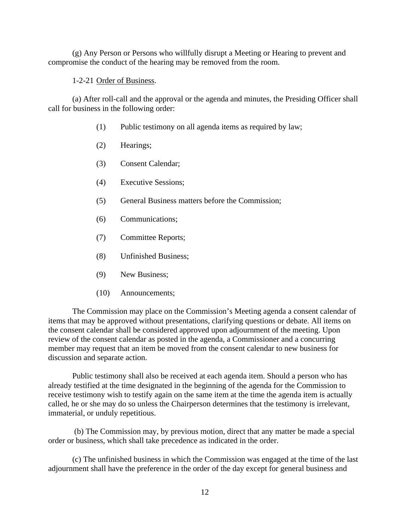(g) Any Person or Persons who willfully disrupt a Meeting or Hearing to prevent and compromise the conduct of the hearing may be removed from the room.

1-2-21 Order of Business.

(a) After roll-call and the approval or the agenda and minutes, the Presiding Officer shall call for business in the following order:

- (1) Public testimony on all agenda items as required by law;
- (2) Hearings;
- (3) Consent Calendar;
- (4) Executive Sessions;
- (5) General Business matters before the Commission;
- (6) Communications;
- (7) Committee Reports;
- (8) Unfinished Business;
- (9) New Business;
- (10) Announcements;

The Commission may place on the Commission's Meeting agenda a consent calendar of items that may be approved without presentations, clarifying questions or debate. All items on the consent calendar shall be considered approved upon adjournment of the meeting. Upon review of the consent calendar as posted in the agenda, a Commissioner and a concurring member may request that an item be moved from the consent calendar to new business for discussion and separate action.

Public testimony shall also be received at each agenda item. Should a person who has already testified at the time designated in the beginning of the agenda for the Commission to receive testimony wish to testify again on the same item at the time the agenda item is actually called, he or she may do so unless the Chairperson determines that the testimony is irrelevant, immaterial, or unduly repetitious.

 (b) The Commission may, by previous motion, direct that any matter be made a special order or business, which shall take precedence as indicated in the order.

(c) The unfinished business in which the Commission was engaged at the time of the last adjournment shall have the preference in the order of the day except for general business and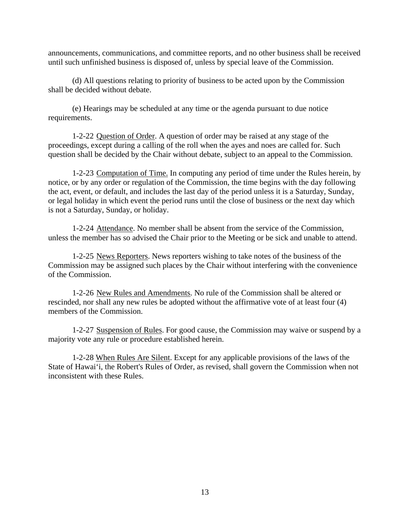announcements, communications, and committee reports, and no other business shall be received until such unfinished business is disposed of, unless by special leave of the Commission.

(d) All questions relating to priority of business to be acted upon by the Commission shall be decided without debate.

(e) Hearings may be scheduled at any time or the agenda pursuant to due notice requirements.

1-2-22 Question of Order. A question of order may be raised at any stage of the proceedings, except during a calling of the roll when the ayes and noes are called for. Such question shall be decided by the Chair without debate, subject to an appeal to the Commission.

1-2-23 Computation of Time. In computing any period of time under the Rules herein, by notice, or by any order or regulation of the Commission, the time begins with the day following the act, event, or default, and includes the last day of the period unless it is a Saturday, Sunday, or legal holiday in which event the period runs until the close of business or the next day which is not a Saturday, Sunday, or holiday.

1-2-24 Attendance. No member shall be absent from the service of the Commission, unless the member has so advised the Chair prior to the Meeting or be sick and unable to attend.

1-2-25 News Reporters. News reporters wishing to take notes of the business of the Commission may be assigned such places by the Chair without interfering with the convenience of the Commission.

1-2-26 New Rules and Amendments. No rule of the Commission shall be altered or rescinded, nor shall any new rules be adopted without the affirmative vote of at least four (4) members of the Commission.

1-2-27 Suspension of Rules. For good cause, the Commission may waive or suspend by a majority vote any rule or procedure established herein.

1-2-28 When Rules Are Silent. Except for any applicable provisions of the laws of the State of Hawai'i, the Robert's Rules of Order, as revised, shall govern the Commission when not inconsistent with these Rules.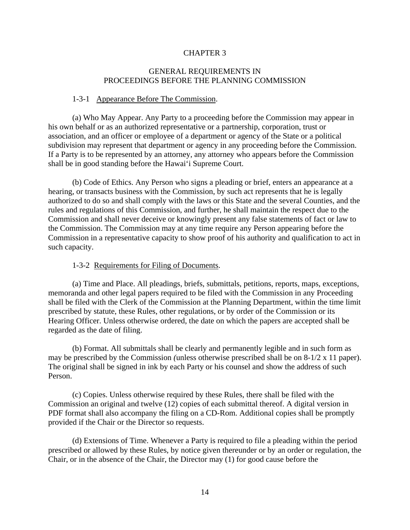### GENERAL REQUIREMENTS IN PROCEEDINGS BEFORE THE PLANNING COMMISSION

#### 1-3-1 Appearance Before The Commission.

(a) Who May Appear. Any Party to a proceeding before the Commission may appear in his own behalf or as an authorized representative or a partnership, corporation, trust or association, and an officer or employee of a department or agency of the State or a political subdivision may represent that department or agency in any proceeding before the Commission. If a Party is to be represented by an attorney, any attorney who appears before the Commission shall be in good standing before the Hawai'i Supreme Court.

(b) Code of Ethics. Any Person who signs a pleading or brief, enters an appearance at a hearing, or transacts business with the Commission, by such act represents that he is legally authorized to do so and shall comply with the laws or this State and the several Counties, and the rules and regulations of this Commission, and further, he shall maintain the respect due to the Commission and shall never deceive or knowingly present any false statements of fact or law to the Commission. The Commission may at any time require any Person appearing before the Commission in a representative capacity to show proof of his authority and qualification to act in such capacity.

#### 1-3-2 Requirements for Filing of Documents.

(a) Time and Place. All pleadings, briefs, submittals, petitions, reports, maps, exceptions, memoranda and other legal papers required to be filed with the Commission in any Proceeding shall be filed with the Clerk of the Commission at the Planning Department, within the time limit prescribed by statute, these Rules, other regulations, or by order of the Commission or its Hearing Officer. Unless otherwise ordered, the date on which the papers are accepted shall be regarded as the date of filing.

(b) Format. All submittals shall be clearly and permanently legible and in such form as may be prescribed by the Commission *(*unless otherwise prescribed shall be on 8-1/2 x 11 paper). The original shall be signed in ink by each Party or his counsel and show the address of such Person.

(c) Copies. Unless otherwise required by these Rules, there shall be filed with the Commission an original and twelve (12) copies of each submittal thereof. A digital version in PDF format shall also accompany the filing on a CD-Rom. Additional copies shall be promptly provided if the Chair or the Director so requests.

(d) Extensions of Time. Whenever a Party is required to file a pleading within the period prescribed or allowed by these Rules, by notice given thereunder or by an order or regulation, the Chair, or in the absence of the Chair, the Director may (1) for good cause before the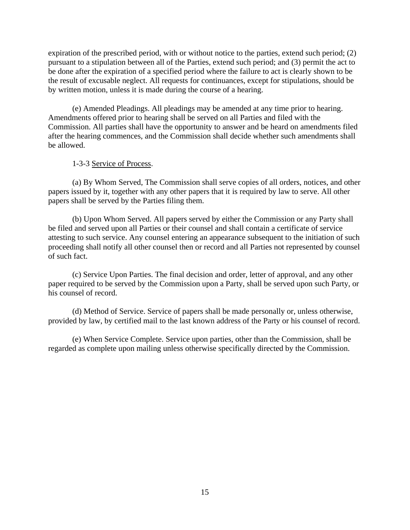expiration of the prescribed period, with or without notice to the parties, extend such period; (2) pursuant to a stipulation between all of the Parties, extend such period; and (3) permit the act to be done after the expiration of a specified period where the failure to act is clearly shown to be the result of excusable neglect. All requests for continuances, except for stipulations, should be by written motion, unless it is made during the course of a hearing.

(e) Amended Pleadings. All pleadings may be amended at any time prior to hearing. Amendments offered prior to hearing shall be served on all Parties and filed with the Commission. All parties shall have the opportunity to answer and be heard on amendments filed after the hearing commences, and the Commission shall decide whether such amendments shall be allowed.

#### 1-3-3 Service of Process.

(a) By Whom Served, The Commission shall serve copies of all orders, notices, and other papers issued by it, together with any other papers that it is required by law to serve. All other papers shall be served by the Parties filing them.

(b) Upon Whom Served. All papers served by either the Commission or any Party shall be filed and served upon all Parties or their counsel and shall contain a certificate of service attesting to such service. Any counsel entering an appearance subsequent to the initiation of such proceeding shall notify all other counsel then or record and all Parties not represented by counsel of such fact.

(c) Service Upon Parties. The final decision and order, letter of approval, and any other paper required to be served by the Commission upon a Party, shall be served upon such Party, or his counsel of record.

(d) Method of Service. Service of papers shall be made personally or, unless otherwise, provided by law, by certified mail to the last known address of the Party or his counsel of record.

(e) When Service Complete. Service upon parties, other than the Commission, shall be regarded as complete upon mailing unless otherwise specifically directed by the Commission.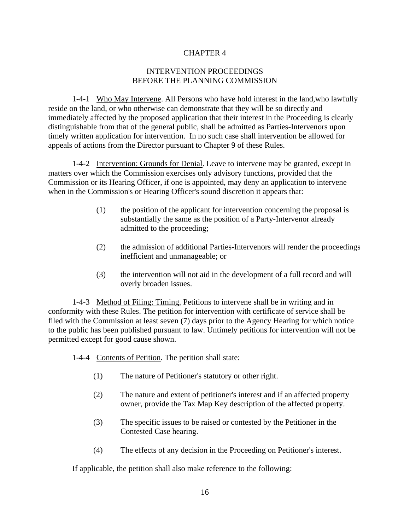### INTERVENTION PROCEEDINGS BEFORE THE PLANNING COMMISSION

1-4-1 Who May Intervene. All Persons who have hold interest in the land,who lawfully reside on the land, or who otherwise can demonstrate that they will be so directly and immediately affected by the proposed application that their interest in the Proceeding is clearly distinguishable from that of the general public, shall be admitted as Parties-Intervenors upon timely written application for intervention. In no such case shall intervention be allowed for appeals of actions from the Director pursuant to Chapter 9 of these Rules.

1-4-2 Intervention: Grounds for Denial. Leave to intervene may be granted, except in matters over which the Commission exercises only advisory functions, provided that the Commission or its Hearing Officer, if one is appointed, may deny an application to intervene when in the Commission's or Hearing Officer's sound discretion it appears that:

- (1) the position of the applicant for intervention concerning the proposal is substantially the same as the position of a Party-Intervenor already admitted to the proceeding;
- (2) the admission of additional Parties-Intervenors will render the proceedings inefficient and unmanageable; or
- (3) the intervention will not aid in the development of a full record and will overly broaden issues.

1-4-3 Method of Filing: Timing. Petitions to intervene shall be in writing and in conformity with these Rules. The petition for intervention with certificate of service shall be filed with the Commission at least seven (7) days prior to the Agency Hearing for which notice to the public has been published pursuant to law. Untimely petitions for intervention will not be permitted except for good cause shown.

1-4-4 Contents of Petition. The petition shall state:

- (1) The nature of Petitioner's statutory or other right.
- (2) The nature and extent of petitioner's interest and if an affected property owner, provide the Tax Map Key description of the affected property.
- (3) The specific issues to be raised or contested by the Petitioner in the Contested Case hearing.
- (4) The effects of any decision in the Proceeding on Petitioner's interest.

If applicable, the petition shall also make reference to the following: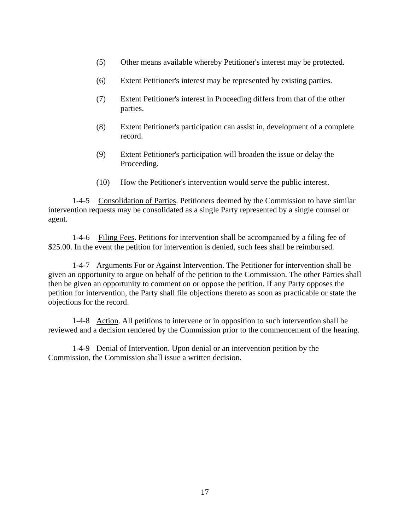- (5) Other means available whereby Petitioner's interest may be protected.
- (6) Extent Petitioner's interest may be represented by existing parties.
- (7) Extent Petitioner's interest in Proceeding differs from that of the other parties.
- (8) Extent Petitioner's participation can assist in, development of a complete record.
- (9) Extent Petitioner's participation will broaden the issue or delay the Proceeding.
- (10) How the Petitioner's intervention would serve the public interest.

1-4-5 Consolidation of Parties. Petitioners deemed by the Commission to have similar intervention requests may be consolidated as a single Party represented by a single counsel or agent.

1-4-6 Filing Fees. Petitions for intervention shall be accompanied by a filing fee of \$25.00. In the event the petition for intervention is denied, such fees shall be reimbursed.

1-4-7 Arguments For or Against Intervention. The Petitioner for intervention shall be given an opportunity to argue on behalf of the petition to the Commission. The other Parties shall then be given an opportunity to comment on or oppose the petition. If any Party opposes the petition for intervention, the Party shall file objections thereto as soon as practicable or state the objections for the record.

1-4-8Action. All petitions to intervene or in opposition to such intervention shall be reviewed and a decision rendered by the Commission prior to the commencement of the hearing.

1-4-9 Denial of Intervention. Upon denial or an intervention petition by the Commission, the Commission shall issue a written decision.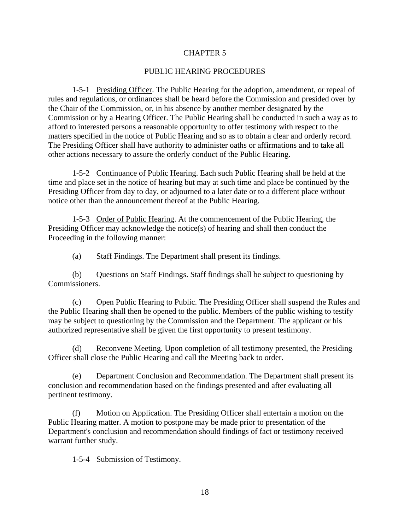#### PUBLIC HEARING PROCEDURES

1-5-1 Presiding Officer. The Public Hearing for the adoption, amendment, or repeal of rules and regulations, or ordinances shall be heard before the Commission and presided over by the Chair of the Commission, or, in his absence by another member designated by the Commission or by a Hearing Officer. The Public Hearing shall be conducted in such a way as to afford to interested persons a reasonable opportunity to offer testimony with respect to the matters specified in the notice of Public Hearing and so as to obtain a clear and orderly record. The Presiding Officer shall have authority to administer oaths or affirmations and to take all other actions necessary to assure the orderly conduct of the Public Hearing.

1-5-2 Continuance of Public Hearing. Each such Public Hearing shall be held at the time and place set in the notice of hearing but may at such time and place be continued by the Presiding Officer from day to day, or adjourned to a later date or to a different place without notice other than the announcement thereof at the Public Hearing.

1-5-3Order of Public Hearing. At the commencement of the Public Hearing, the Presiding Officer may acknowledge the notice(s) of hearing and shall then conduct the Proceeding in the following manner:

(a) Staff Findings. The Department shall present its findings.

(b) Questions on Staff Findings. Staff findings shall be subject to questioning by Commissioners.

(c) Open Public Hearing to Public. The Presiding Officer shall suspend the Rules and the Public Hearing shall then be opened to the public. Members of the public wishing to testify may be subject to questioning by the Commission and the Department. The applicant or his authorized representative shall be given the first opportunity to present testimony.

(d) Reconvene Meeting. Upon completion of all testimony presented, the Presiding Officer shall close the Public Hearing and call the Meeting back to order.

(e) Department Conclusion and Recommendation. The Department shall present its conclusion and recommendation based on the findings presented and after evaluating all pertinent testimony.

(f) Motion on Application. The Presiding Officer shall entertain a motion on the Public Hearing matter. A motion to postpone may be made prior to presentation of the Department's conclusion and recommendation should findings of fact or testimony received warrant further study.

1-5-4 Submission of Testimony.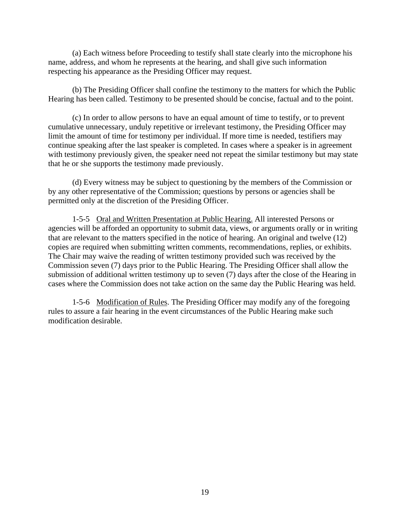(a) Each witness before Proceeding to testify shall state clearly into the microphone his name, address, and whom he represents at the hearing, and shall give such information respecting his appearance as the Presiding Officer may request.

(b) The Presiding Officer shall confine the testimony to the matters for which the Public Hearing has been called. Testimony to be presented should be concise, factual and to the point.

(c) In order to allow persons to have an equal amount of time to testify, or to prevent cumulative unnecessary, unduly repetitive or irrelevant testimony, the Presiding Officer may limit the amount of time for testimony per individual. If more time is needed, testifiers may continue speaking after the last speaker is completed. In cases where a speaker is in agreement with testimony previously given, the speaker need not repeat the similar testimony but may state that he or she supports the testimony made previously.

(d) Every witness may be subject to questioning by the members of the Commission or by any other representative of the Commission; questions by persons or agencies shall be permitted only at the discretion of the Presiding Officer.

1-5-5 Oral and Written Presentation at Public Hearing. All interested Persons or agencies will be afforded an opportunity to submit data, views, or arguments orally or in writing that are relevant to the matters specified in the notice of hearing. An original and twelve (12) copies are required when submitting written comments, recommendations, replies, or exhibits. The Chair may waive the reading of written testimony provided such was received by the Commission seven (7) days prior to the Public Hearing. The Presiding Officer shall allow the submission of additional written testimony up to seven (7) days after the close of the Hearing in cases where the Commission does not take action on the same day the Public Hearing was held.

1-5-6 Modification of Rules. The Presiding Officer may modify any of the foregoing rules to assure a fair hearing in the event circumstances of the Public Hearing make such modification desirable.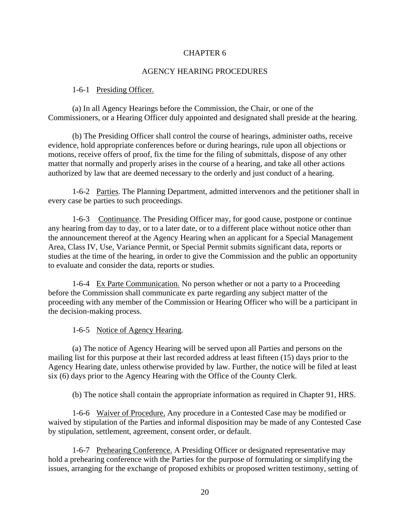### AGENCY HEARING PROCEDURES

#### 1-6-1 Presiding Officer.

(a) In all Agency Hearings before the Commission, the Chair, or one of the Commissioners, or a Hearing Officer duly appointed and designated shall preside at the hearing.

(b) The Presiding Officer shall control the course of hearings, administer oaths, receive evidence, hold appropriate conferences before or during hearings, rule upon all objections or motions, receive offers of proof, fix the time for the filing of submittals, dispose of any other matter that normally and properly arises in the course of a hearing, and take all other actions authorized by law that are deemed necessary to the orderly and just conduct of a hearing.

1-6-2 Parties. The Planning Department, admitted intervenors and the petitioner shall in every case be parties to such proceedings.

1-6-3 Continuance. The Presiding Officer may, for good cause, postpone or continue any hearing from day to day, or to a later date, or to a different place without notice other than the announcement thereof at the Agency Hearing when an applicant for a Special Management Area, Class IV, Use, Variance Permit, or Special Permit submits significant data, reports or studies at the time of the hearing, in order to give the Commission and the public an opportunity to evaluate and consider the data, reports or studies.

1-6-4 Ex Parte Communication. No person whether or not a party to a Proceeding before the Commission shall communicate ex parte regarding any subject matter of the proceeding with any member of the Commission or Hearing Officer who will be a participant in the decision-making process.

1-6-5 Notice of Agency Hearing.

(a) The notice of Agency Hearing will be served upon all Parties and persons on the mailing list for this purpose at their last recorded address at least fifteen (15) days prior to the Agency Hearing date, unless otherwise provided by law. Further, the notice will be filed at least six (6) days prior to the Agency Hearing with the Office of the County Clerk.

(b) The notice shall contain the appropriate information as required in Chapter 91, HRS.

1-6-6 Waiver of Procedure. Any procedure in a Contested Case may be modified or waived by stipulation of the Parties and informal disposition may be made of any Contested Case by stipulation, settlement, agreement, consent order, or default.

1-6-7 Prehearing Conference. A Presiding Officer or designated representative may hold a prehearing conference with the Parties for the purpose of formulating or simplifying the issues, arranging for the exchange of proposed exhibits or proposed written testimony, setting of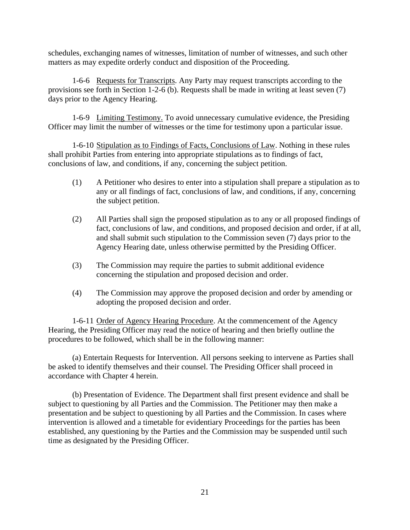schedules, exchanging names of witnesses, limitation of number of witnesses, and such other matters as may expedite orderly conduct and disposition of the Proceeding.

1-6-6 Requests for Transcripts. Any Party may request transcripts according to the provisions see forth in Section 1-2-6 (b). Requests shall be made in writing at least seven (7) days prior to the Agency Hearing.

1-6-9 Limiting Testimony. To avoid unnecessary cumulative evidence, the Presiding Officer may limit the number of witnesses or the time for testimony upon a particular issue.

1-6-10 Stipulation as to Findings of Facts, Conclusions of Law. Nothing in these rules shall prohibit Parties from entering into appropriate stipulations as to findings of fact, conclusions of law, and conditions, if any, concerning the subject petition.

- (1) A Petitioner who desires to enter into a stipulation shall prepare a stipulation as to any or all findings of fact, conclusions of law, and conditions, if any, concerning the subject petition.
- (2) All Parties shall sign the proposed stipulation as to any or all proposed findings of fact, conclusions of law, and conditions, and proposed decision and order, if at all, and shall submit such stipulation to the Commission seven (7) days prior to the Agency Hearing date, unless otherwise permitted by the Presiding Officer.
- (3) The Commission may require the parties to submit additional evidence concerning the stipulation and proposed decision and order.
- (4) The Commission may approve the proposed decision and order by amending or adopting the proposed decision and order.

1-6-11 Order of Agency Hearing Procedure. At the commencement of the Agency Hearing, the Presiding Officer may read the notice of hearing and then briefly outline the procedures to be followed, which shall be in the following manner:

(a) Entertain Requests for Intervention. All persons seeking to intervene as Parties shall be asked to identify themselves and their counsel. The Presiding Officer shall proceed in accordance with Chapter 4 herein.

(b) Presentation of Evidence. The Department shall first present evidence and shall be subject to questioning by all Parties and the Commission. The Petitioner may then make a presentation and be subject to questioning by all Parties and the Commission. In cases where intervention is allowed and a timetable for evidentiary Proceedings for the parties has been established, any questioning by the Parties and the Commission may be suspended until such time as designated by the Presiding Officer.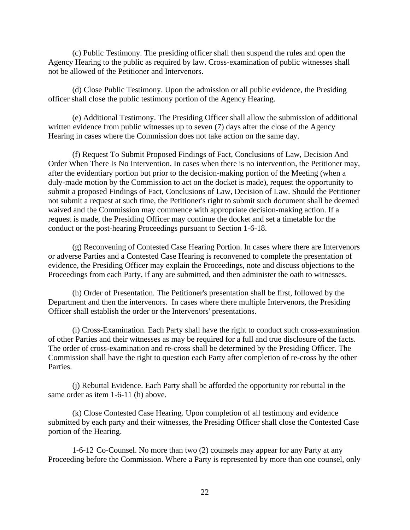(c) Public Testimony. The presiding officer shall then suspend the rules and open the Agency Hearing to the public as required by law. Cross-examination of public witnesses shall not be allowed of the Petitioner and Intervenors.

(d) Close Public Testimony. Upon the admission or all public evidence, the Presiding officer shall close the public testimony portion of the Agency Hearing.

(e) Additional Testimony. The Presiding Officer shall allow the submission of additional written evidence from public witnesses up to seven (7) days after the close of the Agency Hearing in cases where the Commission does not take action on the same day.

(f) Request To Submit Proposed Findings of Fact, Conclusions of Law, Decision And Order When There Is No Intervention. In cases when there is no intervention, the Petitioner may, after the evidentiary portion but prior to the decision-making portion of the Meeting (when a duly-made motion by the Commission to act on the docket is made), request the opportunity to submit a proposed Findings of Fact, Conclusions of Law, Decision of Law. Should the Petitioner not submit a request at such time, the Petitioner's right to submit such document shall be deemed waived and the Commission may commence with appropriate decision-making action. If a request is made, the Presiding Officer may continue the docket and set a timetable for the conduct or the post-hearing Proceedings pursuant to Section 1-6-18.

 (g) Reconvening of Contested Case Hearing Portion. In cases where there are Intervenors or adverse Parties and a Contested Case Hearing is reconvened to complete the presentation of evidence, the Presiding Officer may explain the Proceedings, note and discuss objections to the Proceedings from each Party, if any are submitted, and then administer the oath to witnesses.

(h) Order of Presentation. The Petitioner's presentation shall be first, followed by the Department and then the intervenors. In cases where there multiple Intervenors, the Presiding Officer shall establish the order or the Intervenors' presentations.

(i) Cross-Examination. Each Party shall have the right to conduct such cross-examination of other Parties and their witnesses as may be required for a full and true disclosure of the facts. The order of cross-examination and re-cross shall be determined by the Presiding Officer. The Commission shall have the right to question each Party after completion of re-cross by the other Parties.

(j) Rebuttal Evidence. Each Party shall be afforded the opportunity ror rebuttal in the same order as item 1-6-11 (h) above.

(k) Close Contested Case Hearing. Upon completion of all testimony and evidence submitted by each party and their witnesses, the Presiding Officer shall close the Contested Case portion of the Hearing.

1-6-12 Co-Counsel. No more than two (2) counsels may appear for any Party at any Proceeding before the Commission. Where a Party is represented by more than one counsel, only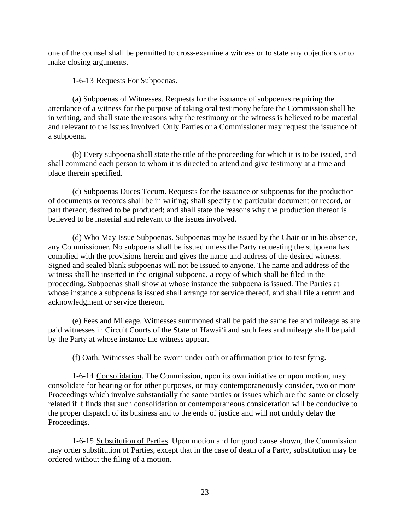one of the counsel shall be permitted to cross-examine a witness or to state any objections or to make closing arguments.

#### 1-6-13 Requests For Subpoenas.

(a) Subpoenas of Witnesses. Requests for the issuance of subpoenas requiring the atterdance of a witness for the purpose of taking oral testimony before the Commission shall be in writing, and shall state the reasons why the testimony or the witness is believed to be material and relevant to the issues involved. Only Parties or a Commissioner may request the issuance of a subpoena.

(b) Every subpoena shall state the title of the proceeding for which it is to be issued, and shall command each person to whom it is directed to attend and give testimony at a time and place therein specified.

(c) Subpoenas Duces Tecum. Requests for the issuance or subpoenas for the production of documents or records shall be in writing; shall specify the particular document or record, or part thereor, desired to be produced; and shall state the reasons why the production thereof is believed to be material and relevant to the issues involved.

(d) Who May Issue Subpoenas. Subpoenas may be issued by the Chair or in his absence, any Commissioner. No subpoena shall be issued unless the Party requesting the subpoena has complied with the provisions herein and gives the name and address of the desired witness. Signed and sealed blank subpoenas will not be issued to anyone. The name and address of the witness shall be inserted in the original subpoena, a copy of which shall be filed in the proceeding. Subpoenas shall show at whose instance the subpoena is issued. The Parties at whose instance a subpoena is issued shall arrange for service thereof, and shall file a return and acknowledgment or service thereon.

(e) Fees and Mileage. Witnesses summoned shall be paid the same fee and mileage as are paid witnesses in Circuit Courts of the State of Hawai'i and such fees and mileage shall be paid by the Party at whose instance the witness appear.

(f) Oath. Witnesses shall be sworn under oath or affirmation prior to testifying.

1-6-14 Consolidation. The Commission, upon its own initiative or upon motion, may consolidate for hearing or for other purposes, or may contemporaneously consider, two or more Proceedings which involve substantially the same parties or issues which are the same or closely related if it finds that such consolidation or contemporaneous consideration will be conducive to the proper dispatch of its business and to the ends of justice and will not unduly delay the Proceedings.

1-6-15 Substitution of Parties. Upon motion and for good cause shown, the Commission may order substitution of Parties, except that in the case of death of a Party, substitution may be ordered without the filing of a motion.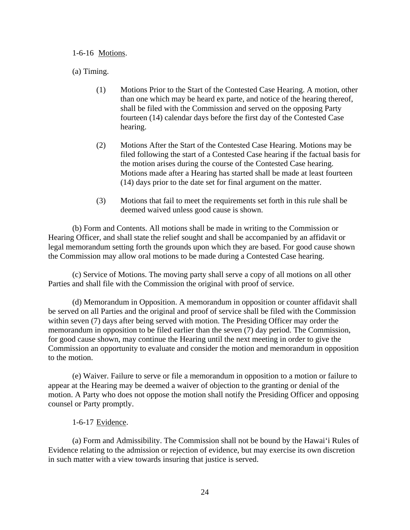1-6-16 Motions.

(a) Timing.

- (1) Motions Prior to the Start of the Contested Case Hearing. A motion, other than one which may be heard ex parte, and notice of the hearing thereof, shall be filed with the Commission and served on the opposing Party fourteen (14) calendar days before the first day of the Contested Case hearing.
- (2) Motions After the Start of the Contested Case Hearing. Motions may be filed following the start of a Contested Case hearing if the factual basis for the motion arises during the course of the Contested Case hearing. Motions made after a Hearing has started shall be made at least fourteen (14) days prior to the date set for final argument on the matter.
- (3) Motions that fail to meet the requirements set forth in this rule shall be deemed waived unless good cause is shown.

(b) Form and Contents. All motions shall be made in writing to the Commission or Hearing Officer, and shall state the relief sought and shall be accompanied by an affidavit or legal memorandum setting forth the grounds upon which they are based. For good cause shown the Commission may allow oral motions to be made during a Contested Case hearing.

(c) Service of Motions. The moving party shall serve a copy of all motions on all other Parties and shall file with the Commission the original with proof of service.

(d) Memorandum in Opposition. A memorandum in opposition or counter affidavit shall be served on all Parties and the original and proof of service shall be filed with the Commission within seven (7) days after being served with motion. The Presiding Officer may order the memorandum in opposition to be filed earlier than the seven (7) day period. The Commission, for good cause shown, may continue the Hearing until the next meeting in order to give the Commission an opportunity to evaluate and consider the motion and memorandum in opposition to the motion.

(e) Waiver. Failure to serve or file a memorandum in opposition to a motion or failure to appear at the Hearing may be deemed a waiver of objection to the granting or denial of the motion. A Party who does not oppose the motion shall notify the Presiding Officer and opposing counsel or Party promptly.

### 1-6-17 Evidence.

(a) Form and Admissibility. The Commission shall not be bound by the Hawai'i Rules of Evidence relating to the admission or rejection of evidence, but may exercise its own discretion in such matter with a view towards insuring that justice is served.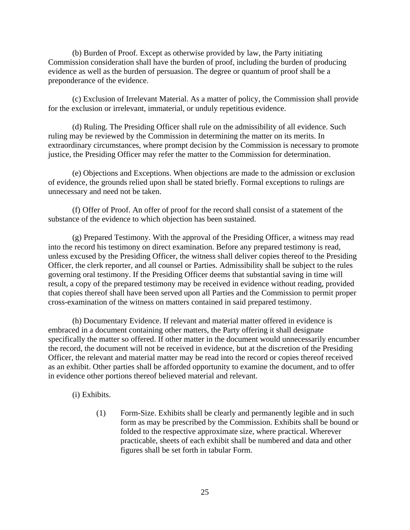(b) Burden of Proof. Except as otherwise provided by law, the Party initiating Commission consideration shall have the burden of proof, including the burden of producing evidence as well as the burden of persuasion. The degree or quantum of proof shall be a preponderance of the evidence.

(c) Exclusion of Irrelevant Material. As a matter of policy, the Commission shall provide for the exclusion or irrelevant, immaterial, or unduly repetitious evidence.

(d) Ruling. The Presiding Officer shall rule on the admissibility of all evidence. Such ruling may be reviewed by the Commission in determining the matter on its merits. In extraordinary circumstances, where prompt decision by the Commission is necessary to promote justice, the Presiding Officer may refer the matter to the Commission for determination.

(e) Objections and Exceptions. When objections are made to the admission or exclusion of evidence, the grounds relied upon shall be stated briefly. Formal exceptions to rulings are unnecessary and need not be taken.

(f) Offer of Proof. An offer of proof for the record shall consist of a statement of the substance of the evidence to which objection has been sustained.

(g) Prepared Testimony. With the approval of the Presiding Officer, a witness may read into the record his testimony on direct examination. Before any prepared testimony is read, unless excused by the Presiding Officer, the witness shall deliver copies thereof to the Presiding Officer, the clerk reporter, and all counsel or Parties. Admissibility shall be subject to the rules governing oral testimony. If the Presiding Officer deems that substantial saving in time will result, a copy of the prepared testimony may be received in evidence without reading, provided that copies thereof shall have been served upon all Parties and the Commission to permit proper cross-examination of the witness on matters contained in said prepared testimony.

(h) Documentary Evidence. If relevant and material matter offered in evidence is embraced in a document containing other matters, the Party offering it shall designate specifically the matter so offered. If other matter in the document would unnecessarily encumber the record, the document will not be received in evidence, but at the discretion of the Presiding Officer, the relevant and material matter may be read into the record or copies thereof received as an exhibit. Other parties shall be afforded opportunity to examine the document, and to offer in evidence other portions thereof believed material and relevant.

(i) Exhibits.

(1) Form-Size. Exhibits shall be clearly and permanently legible and in such form as may be prescribed by the Commission. Exhibits shall be bound or folded to the respective approximate size, where practical. Wherever practicable, sheets of each exhibit shall be numbered and data and other figures shall be set forth in tabular Form.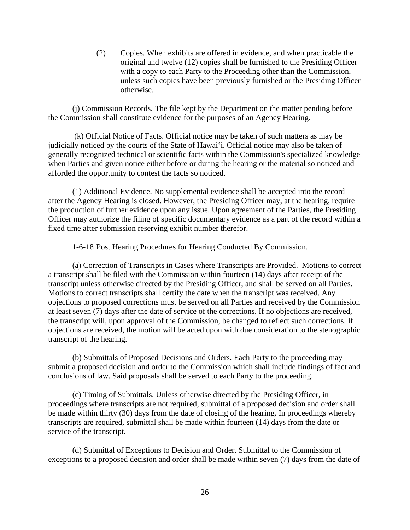(2) Copies. When exhibits are offered in evidence, and when practicable the original and twelve (12) copies shall be furnished to the Presiding Officer with a copy to each Party to the Proceeding other than the Commission, unless such copies have been previously furnished or the Presiding Officer otherwise.

(j) Commission Records. The file kept by the Department on the matter pending before the Commission shall constitute evidence for the purposes of an Agency Hearing.

 (k) Official Notice of Facts. Official notice may be taken of such matters as may be judicially noticed by the courts of the State of Hawai'i. Official notice may also be taken of generally recognized technical or scientific facts within the Commission's specialized knowledge when Parties and given notice either before or during the hearing or the material so noticed and afforded the opportunity to contest the facts so noticed.

(1) Additional Evidence. No supplemental evidence shall be accepted into the record after the Agency Hearing is closed. However, the Presiding Officer may, at the hearing, require the production of further evidence upon any issue. Upon agreement of the Parties, the Presiding Officer may authorize the filing of specific documentary evidence as a part of the record within a fixed time after submission reserving exhibit number therefor.

### 1-6-18 Post Hearing Procedures for Hearing Conducted By Commission.

(a) Correction of Transcripts in Cases where Transcripts are Provided. Motions to correct a transcript shall be filed with the Commission within fourteen (14) days after receipt of the transcript unless otherwise directed by the Presiding Officer, and shall be served on all Parties. Motions to correct transcripts shall certify the date when the transcript was received. Any objections to proposed corrections must be served on all Parties and received by the Commission at least seven (7) days after the date of service of the corrections. If no objections are received, the transcript will, upon approval of the Commission, be changed to reflect such corrections. If objections are received, the motion will be acted upon with due consideration to the stenographic transcript of the hearing.

(b) Submittals of Proposed Decisions and Orders. Each Party to the proceeding may submit a proposed decision and order to the Commission which shall include findings of fact and conclusions of law. Said proposals shall be served to each Party to the proceeding.

(c) Timing of Submittals. Unless otherwise directed by the Presiding Officer, in proceedings where transcripts are not required, submittal of a proposed decision and order shall be made within thirty (30) days from the date of closing of the hearing. In proceedings whereby transcripts are required, submittal shall be made within fourteen (14) days from the date or service of the transcript.

(d) Submittal of Exceptions to Decision and Order. Submittal to the Commission of exceptions to a proposed decision and order shall be made within seven (7) days from the date of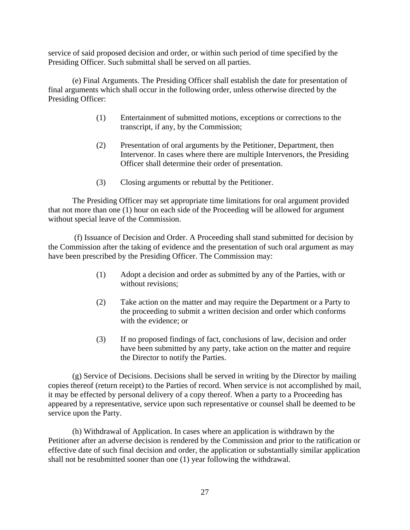service of said proposed decision and order, or within such period of time specified by the Presiding Officer. Such submittal shall be served on all parties.

(e) Final Arguments. The Presiding Officer shall establish the date for presentation of final arguments which shall occur in the following order, unless otherwise directed by the Presiding Officer:

- (1) Entertainment of submitted motions, exceptions or corrections to the transcript, if any, by the Commission;
- (2) Presentation of oral arguments by the Petitioner, Department, then Intervenor. In cases where there are multiple Intervenors, the Presiding Officer shall determine their order of presentation.
- (3) Closing arguments or rebuttal by the Petitioner.

The Presiding Officer may set appropriate time limitations for oral argument provided that not more than one (1) hour on each side of the Proceeding will be allowed for argument without special leave of the Commission.

 (f) Issuance of Decision and Order. A Proceeding shall stand submitted for decision by the Commission after the taking of evidence and the presentation of such oral argument as may have been prescribed by the Presiding Officer. The Commission may:

- (1) Adopt a decision and order as submitted by any of the Parties, with or without revisions;
- (2) Take action on the matter and may require the Department or a Party to the proceeding to submit a written decision and order which conforms with the evidence; or
- (3) If no proposed findings of fact, conclusions of law, decision and order have been submitted by any party, take action on the matter and require the Director to notify the Parties.

(g) Service of Decisions. Decisions shall be served in writing by the Director by mailing copies thereof (return receipt) to the Parties of record. When service is not accomplished by mail, it may be effected by personal delivery of a copy thereof. When a party to a Proceeding has appeared by a representative, service upon such representative or counsel shall be deemed to be service upon the Party.

(h) Withdrawal of Application. In cases where an application is withdrawn by the Petitioner after an adverse decision is rendered by the Commission and prior to the ratification or effective date of such final decision and order, the application or substantially similar application shall not be resubmitted sooner than one (1) year following the withdrawal.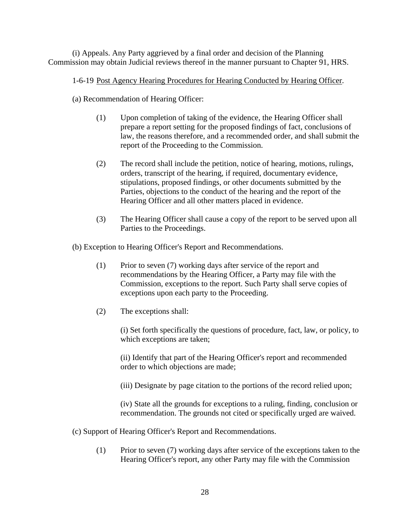(i) Appeals. Any Party aggrieved by a final order and decision of the Planning Commission may obtain Judicial reviews thereof in the manner pursuant to Chapter 91, HRS.

# 1-6-19 Post Agency Hearing Procedures for Hearing Conducted by Hearing Officer.

(a) Recommendation of Hearing Officer:

- (1) Upon completion of taking of the evidence, the Hearing Officer shall prepare a report setting for the proposed findings of fact, conclusions of law, the reasons therefore, and a recommended order, and shall submit the report of the Proceeding to the Commission.
- (2) The record shall include the petition, notice of hearing, motions, rulings, orders, transcript of the hearing, if required, documentary evidence, stipulations, proposed findings, or other documents submitted by the Parties, objections to the conduct of the hearing and the report of the Hearing Officer and all other matters placed in evidence.
- (3) The Hearing Officer shall cause a copy of the report to be served upon all Parties to the Proceedings.

(b) Exception to Hearing Officer's Report and Recommendations.

- (1) Prior to seven (7) working days after service of the report and recommendations by the Hearing Officer, a Party may file with the Commission, exceptions to the report. Such Party shall serve copies of exceptions upon each party to the Proceeding.
- (2) The exceptions shall:

(i) Set forth specifically the questions of procedure, fact, law, or policy, to which exceptions are taken;

(ii) Identify that part of the Hearing Officer's report and recommended order to which objections are made;

(iii) Designate by page citation to the portions of the record relied upon;

(iv) State all the grounds for exceptions to a ruling, finding, conclusion or recommendation. The grounds not cited or specifically urged are waived.

- (c) Support of Hearing Officer's Report and Recommendations.
	- (1) Prior to seven (7) working days after service of the exceptions taken to the Hearing Officer's report, any other Party may file with the Commission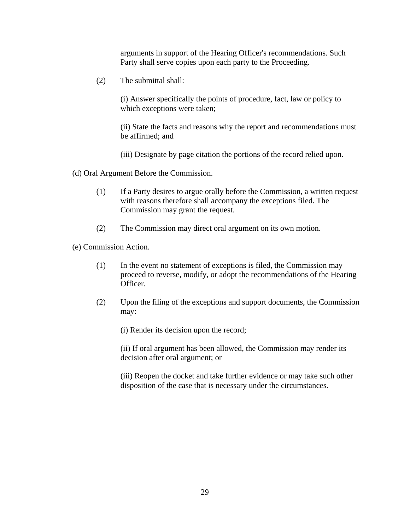arguments in support of the Hearing Officer's recommendations. Such Party shall serve copies upon each party to the Proceeding.

(2) The submittal shall:

(i) Answer specifically the points of procedure, fact, law or policy to which exceptions were taken;

(ii) State the facts and reasons why the report and recommendations must be affirmed; and

(iii) Designate by page citation the portions of the record relied upon.

(d) Oral Argument Before the Commission.

- (1) If a Party desires to argue orally before the Commission, a written request with reasons therefore shall accompany the exceptions filed. The Commission may grant the request.
- (2) The Commission may direct oral argument on its own motion.

(e) Commission Action.

- (1) In the event no statement of exceptions is filed, the Commission may proceed to reverse, modify, or adopt the recommendations of the Hearing Officer.
- (2) Upon the filing of the exceptions and support documents, the Commission may:

(i) Render its decision upon the record;

(ii) If oral argument has been allowed, the Commission may render its decision after oral argument; or

(iii) Reopen the docket and take further evidence or may take such other disposition of the case that is necessary under the circumstances.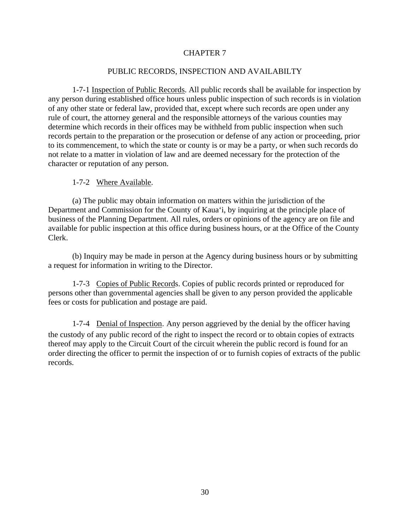### PUBLIC RECORDS, INSPECTION AND AVAILABILTY

1-7-1 Inspection of Public Records. All public records shall be available for inspection by any person during established office hours unless public inspection of such records is in violation of any other state or federal law, provided that, except where such records are open under any rule of court, the attorney general and the responsible attorneys of the various counties may determine which records in their offices may be withheld from public inspection when such records pertain to the preparation or the prosecution or defense of any action or proceeding, prior to its commencement, to which the state or county is or may be a party, or when such records do not relate to a matter in violation of law and are deemed necessary for the protection of the character or reputation of any person.

# 1-7-2 Where Available.

(a) The public may obtain information on matters within the jurisdiction of the Department and Commission for the County of Kaua'i, by inquiring at the principle place of business of the Planning Department. All rules, orders or opinions of the agency are on file and available for public inspection at this office during business hours, or at the Office of the County Clerk.

(b) Inquiry may be made in person at the Agency during business hours or by submitting a request for information in writing to the Director.

1-7-3 Copies of Public Records. Copies of public records printed or reproduced for persons other than governmental agencies shall be given to any person provided the applicable fees or costs for publication and postage are paid.

1-7-4 Denial of Inspection. Any person aggrieved by the denial by the officer having the custody of any public record of the right to inspect the record or to obtain copies of extracts thereof may apply to the Circuit Court of the circuit wherein the public record is found for an order directing the officer to permit the inspection of or to furnish copies of extracts of the public records.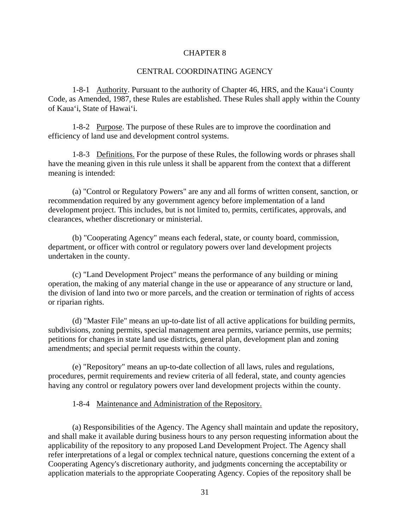#### CENTRAL COORDINATING AGENCY

1-8-1 Authority. Pursuant to the authority of Chapter 46, HRS, and the Kaua'i County Code, as Amended, 1987, these Rules are established. These Rules shall apply within the County of Kaua'i, State of Hawai'i.

1-8-2 Purpose. The purpose of these Rules are to improve the coordination and efficiency of land use and development control systems.

1-8-3 Definitions. For the purpose of these Rules, the following words or phrases shall have the meaning given in this rule unless it shall be apparent from the context that a different meaning is intended:

(a) "Control or Regulatory Powers" are any and all forms of written consent, sanction, or recommendation required by any government agency before implementation of a land development project. This includes, but is not limited to, permits, certificates, approvals, and clearances, whether discretionary or ministerial.

(b) "Cooperating Agency" means each federal, state, or county board, commission, department, or officer with control or regulatory powers over land development projects undertaken in the county.

(c) "Land Development Project" means the performance of any building or mining operation, the making of any material change in the use or appearance of any structure or land, the division of land into two or more parcels, and the creation or termination of rights of access or riparian rights.

(d) "Master File" means an up-to-date list of all active applications for building permits, subdivisions, zoning permits, special management area permits, variance permits, use permits; petitions for changes in state land use districts, general plan, development plan and zoning amendments; and special permit requests within the county.

(e) "Repository" means an up-to-date collection of all laws, rules and regulations, procedures, permit requirements and review criteria of all federal, state, and county agencies having any control or regulatory powers over land development projects within the county.

1-8-4 Maintenance and Administration of the Repository.

(a) Responsibilities of the Agency. The Agency shall maintain and update the repository, and shall make it available during business hours to any person requesting information about the applicability of the repository to any proposed Land Development Project. The Agency shall refer interpretations of a legal or complex technical nature, questions concerning the extent of a Cooperating Agency's discretionary authority, and judgments concerning the acceptability or application materials to the appropriate Cooperating Agency*.* Copies of the repository shall be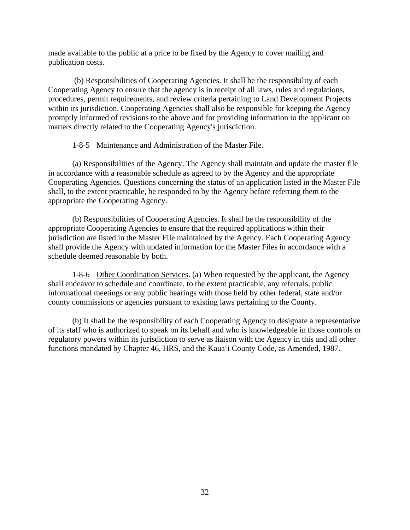made available to the public at a price to be fixed by the Agency to cover mailing and publication costs.

 (b) Responsibilities of Cooperating Agencies. It shall be the responsibility of each Cooperating Agency to ensure that the agency is in receipt of all laws, rules and regulations, procedures, permit requirements, and review criteria pertaining to Land Development Projects within its jurisdiction. Cooperating Agencies shall also be responsible for keeping the Agency promptly informed of revisions to the above and for providing information to the applicant on matters directly related to the Cooperating Agency's jurisdiction.

# 1-8-5 Maintenance and Administration of the Master File.

(a) Responsibilities of the Agency. The Agency shall maintain and update the master file in accordance with a reasonable schedule as agreed to by the Agency and the appropriate Cooperating Agencies. Questions concerning the status of an application listed in the Master File shall, to the extent practicable, be responded to by the Agency before referring them to the appropriate the Cooperating Agency.

(b) Responsibilities of Cooperating Agencies. It shall be the responsibility of the appropriate Cooperating Agencies to ensure that the required applications within their jurisdiction are listed in the Master File maintained by the Agency. Each Cooperating Agency shall provide the Agency with updated information for the Master Files in accordance with a schedule deemed reasonable by both.

1-8-6 Other Coordination Services. (a) When requested by the applicant, the Agency shall endeavor to schedule and coordinate, to the extent practicable, any referrals, public informational meetings or any public hearings with those held by other federal, state and/or county commissions or agencies pursuant to existing laws pertaining to the County.

(b) It shall be the responsibility of each Cooperating Agency to designate a representative of its staff who is authorized to speak on its behalf and who is knowledgeable in those controls or regulatory powers within its jurisdiction to serve as liaison with the Agency in this and all other functions mandated by Chapter 46, HRS, and the Kaua'i County Code, as Amended, 1987.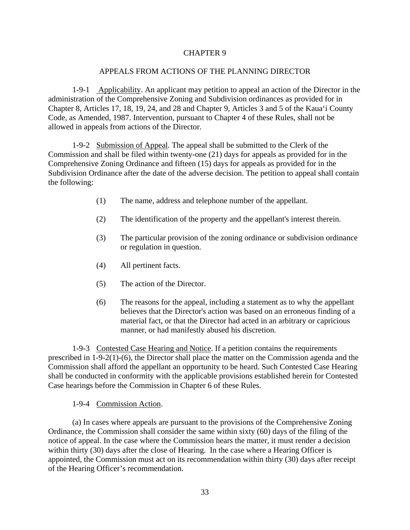### APPEALS FROM ACTIONS OF THE PLANNING DIRECTOR

1-9-1 Applicability. An applicant may petition to appeal an action of the Director in the administration of the Comprehensive Zoning and Subdivision ordinances as provided for in Chapter 8, Articles 17, 18, 19, 24, and 28 and Chapter 9, Articles 3 and 5 of the Kaua'i County Code, as Amended, 1987. Intervention, pursuant to Chapter 4 of these Rules, shall not be allowed in appeals from actions of the Director.

1-9-2 Submission of Appeal. The appeal shall be submitted to the Clerk of the Commission and shall be filed within twenty-one (21) days for appeals as provided for in the Comprehensive Zoning Ordinance and fifteen (15) days for appeals as provided for in the Subdivision Ordinance after the date of the adverse decision. The petition to appeal shall contain the following:

- (1) The name, address and telephone number of the appellant.
- (2) The identification of the property and the appellant's interest therein.
- (3) The particular provision of the zoning ordinance or subdivision ordinance or regulation in question.
- (4) All pertinent facts.
- (5) The action of the Director.
- (6) The reasons for the appeal, including a statement as to why the appellant believes that the Director's action was based on an erroneous finding of a material fact, or that the Director had acted in an arbitrary or capricious manner, or had manifestly abused his discretion.

1-9-3 Contested Case Hearing and Notice. If a petition contains the requirements prescribed in 1-9-2(1)-(6), the Director shall place the matter on the Commission agenda and the Commission shall afford the appellant an opportunity to be heard. Such Contested Case Hearing shall be conducted in conformity with the applicable provisions established herein for Contested Case hearings before the Commission in Chapter 6 of these Rules.

### 1-9-4 Commission Action.

(a) In cases where appeals are pursuant to the provisions of the Comprehensive Zoning Ordinance, the Commission shall consider the same within sixty (60) days of the filing of the notice of appeal. In the case where the Commission hears the matter, it must render a decision within thirty (30) days after the close of Hearing. In the case where a Hearing Officer is appointed, the Commission must act on its recommendation within thirty (30) days after receipt of the Hearing Officer's recommendation.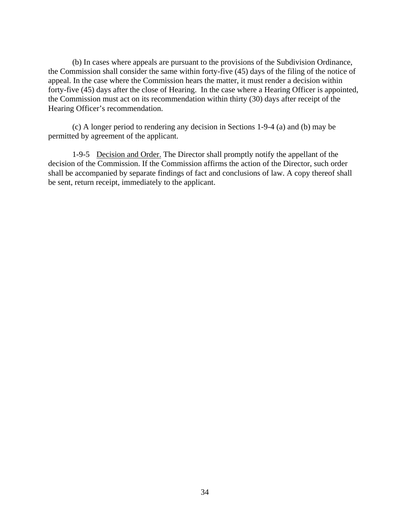(b) In cases where appeals are pursuant to the provisions of the Subdivision Ordinance, the Commission shall consider the same within forty-five (45) days of the filing of the notice of appeal. In the case where the Commission hears the matter, it must render a decision within forty-five (45) days after the close of Hearing. In the case where a Hearing Officer is appointed, the Commission must act on its recommendation within thirty (30) days after receipt of the Hearing Officer's recommendation.

(c) A longer period to rendering any decision in Sections 1-9-4 (a) and (b) may be permitted by agreement of the applicant.

1-9-5 Decision and Order. The Director shall promptly notify the appellant of the decision of the Commission. If the Commission affirms the action of the Director, such order shall be accompanied by separate findings of fact and conclusions of law. A copy thereof shall be sent, return receipt, immediately to the applicant.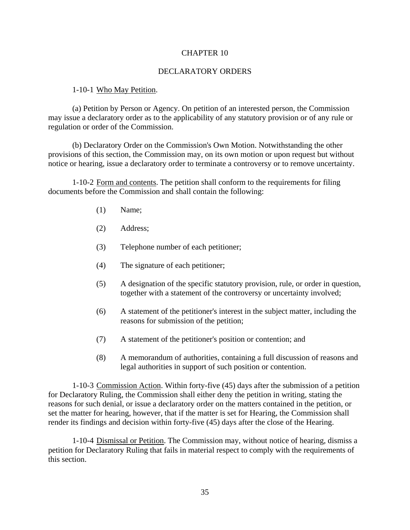#### DECLARATORY ORDERS

#### 1-10-1 Who May Petition.

(a) Petition by Person or Agency. On petition of an interested person, the Commission may issue a declaratory order as to the applicability of any statutory provision or of any rule or regulation or order of the Commission.

(b) Declaratory Order on the Commission's Own Motion. Notwithstanding the other provisions of this section, the Commission may, on its own motion or upon request but without notice or hearing, issue a declaratory order to terminate a controversy or to remove uncertainty.

1-10-2 Form and contents. The petition shall conform to the requirements for filing documents before the Commission and shall contain the following:

- (1) Name;
- (2) Address;
- (3) Telephone number of each petitioner;
- (4) The signature of each petitioner;
- (5) A designation of the specific statutory provision, rule, or order in question, together with a statement of the controversy or uncertainty involved;
- (6) A statement of the petitioner's interest in the subject matter, including the reasons for submission of the petition;
- (7) A statement of the petitioner's position or contention; and
- (8) A memorandum of authorities, containing a full discussion of reasons and legal authorities in support of such position or contention.

1-10-3 Commission Action. Within forty-five (45) days after the submission of a petition for Declaratory Ruling, the Commission shall either deny the petition in writing, stating the reasons for such denial, or issue a declaratory order on the matters contained in the petition, or set the matter for hearing, however, that if the matter is set for Hearing, the Commission shall render its findings and decision within forty-five (45) days after the close of the Hearing.

1-10-4 Dismissal or Petition. The Commission may, without notice of hearing, dismiss a petition for Declaratory Ruling that fails in material respect to comply with the requirements of this section.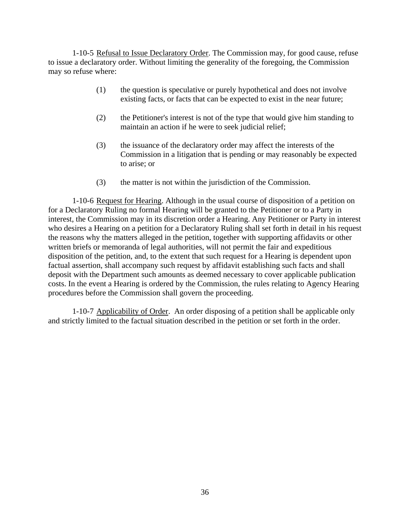1-10-5 Refusal to Issue Declaratory Order. The Commission may, for good cause, refuse to issue a declaratory order. Without limiting the generality of the foregoing, the Commission may so refuse where:

- (1) the question is speculative or purely hypothetical and does not involve existing facts, or facts that can be expected to exist in the near future;
- (2) the Petitioner's interest is not of the type that would give him standing to maintain an action if he were to seek judicial relief;
- (3) the issuance of the declaratory order may affect the interests of the Commission in a litigation that is pending or may reasonably be expected to arise; or
- (3) the matter is not within the jurisdiction of the Commission.

1-10-6 Request for Hearing. Although in the usual course of disposition of a petition on for a Declaratory Ruling no formal Hearing will be granted to the Petitioner or to a Party in interest, the Commission may in its discretion order a Hearing. Any Petitioner or Party in interest who desires a Hearing on a petition for a Declaratory Ruling shall set forth in detail in his request the reasons why the matters alleged in the petition, together with supporting affidavits or other written briefs or memoranda of legal authorities, will not permit the fair and expeditious disposition of the petition, and, to the extent that such request for a Hearing is dependent upon factual assertion, shall accompany such request by affidavit establishing such facts and shall deposit with the Department such amounts as deemed necessary to cover applicable publication costs. In the event a Hearing is ordered by the Commission, the rules relating to Agency Hearing procedures before the Commission shall govern the proceeding.

1-10-7 Applicability of Order. An order disposing of a petition shall be applicable only and strictly limited to the factual situation described in the petition or set forth in the order.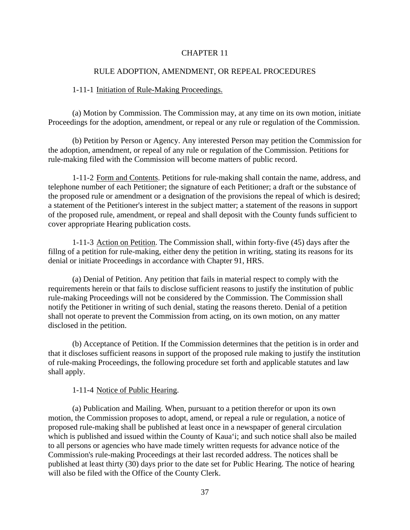#### RULE ADOPTION, AMENDMENT, OR REPEAL PROCEDURES

#### 1-11-1 Initiation of Rule-Making Proceedings.

(a) Motion by Commission. The Commission may, at any time on its own motion, initiate Proceedings for the adoption, amendment, or repeal or any rule or regulation of the Commission.

(b) Petition by Person or Agency. Any interested Person may petition the Commission for the adoption, amendment, or repeal of any rule or regulation of the Commission. Petitions for rule-making filed with the Commission will become matters of public record.

1-11-2 Form and Contents. Petitions for rule-making shall contain the name, address, and telephone number of each Petitioner; the signature of each Petitioner; a draft or the substance of the proposed rule or amendment or a designation of the provisions the repeal of which is desired; a statement of the Petitioner's interest in the subject matter; a statement of the reasons in support of the proposed rule, amendment, or repeal and shall deposit with the County funds sufficient to cover appropriate Hearing publication costs.

1-11-3 Action on Petition. The Commission shall, within forty-five (45) days after the fillng of a petition for rule-making, either deny the petition in writing, stating its reasons for its denial or initiate Proceedings in accordance with Chapter 91, HRS.

(a) Denial of Petition. Any petition that fails in material respect to comply with the requirements herein or that fails to disclose sufficient reasons to justify the institution of public rule-making Proceedings will not be considered by the Commission. The Commission shall notify the Petitioner in writing of such denial, stating the reasons thereto. Denial of a petition shall not operate to prevent the Commission from acting, on its own motion, on any matter disclosed in the petition.

(b) Acceptance of Petition. If the Commission determines that the petition is in order and that it discloses sufficient reasons in support of the proposed rule making to justify the institution of rule-making Proceedings, the following procedure set forth and applicable statutes and law shall apply.

#### 1-11-4 Notice of Public Hearing.

(a) Publication and Mailing. When, pursuant to a petition therefor or upon its own motion, the Commission proposes to adopt, amend, or repeal a rule or regulation, a notice of proposed rule-making shall be published at least once in a newspaper of general circulation which is published and issued within the County of Kaua'i; and such notice shall also be mailed to all persons or agencies who have made timely written requests for advance notice of the Commission's rule-making Proceedings at their last recorded address. The notices shall be published at least thirty (30) days prior to the date set for Public Hearing. The notice of hearing will also be filed with the Office of the County Clerk.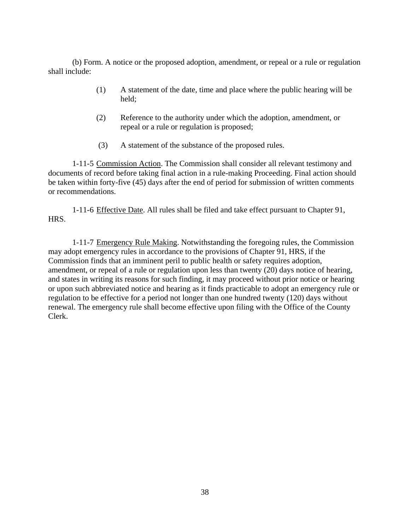(b) Form. A notice or the proposed adoption, amendment, or repeal or a rule or regulation shall include:

- (1) A statement of the date, time and place where the public hearing will be held;
- (2) Reference to the authority under which the adoption, amendment, or repeal or a rule or regulation is proposed;
- (3) A statement of the substance of the proposed rules.

1-11-5 Commission Action. The Commission shall consider all relevant testimony and documents of record before taking final action in a rule-making Proceeding. Final action should be taken within forty-five (45) days after the end of period for submission of written comments or recommendations.

1-11-6 Effective Date. All rules shall be filed and take effect pursuant to Chapter 91, HRS.

1-11-7 Emergency Rule Making. Notwithstanding the foregoing rules, the Commission may adopt emergency rules in accordance to the provisions of Chapter 91, HRS, if the Commission finds that an imminent peril to public health or safety requires adoption, amendment, or repeal of a rule or regulation upon less than twenty (20) days notice of hearing, and states in writing its reasons for such finding, it may proceed without prior notice or hearing or upon such abbreviated notice and hearing as it finds practicable to adopt an emergency rule or regulation to be effective for a period not longer than one hundred twenty (120) days without renewal. The emergency rule shall become effective upon filing with the Office of the County Clerk.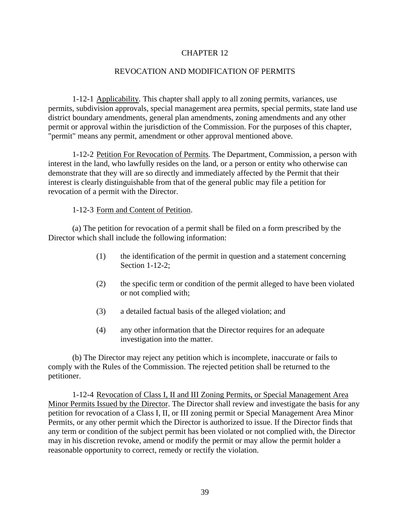### REVOCATION AND MODIFICATION OF PERMITS

1-12-1 Applicability. This chapter shall apply to all zoning permits, variances, use permits, subdivision approvals, special management area permits, special permits, state land use district boundary amendments, general plan amendments, zoning amendments and any other permit or approval within the jurisdiction of the Commission. For the purposes of this chapter, "permit" means any permit, amendment or other approval mentioned above.

1-12-2 Petition For Revocation of Permits. The Department, Commission, a person with interest in the land, who lawfully resides on the land, or a person or entity who otherwise can demonstrate that they will are so directly and immediately affected by the Permit that their interest is clearly distinguishable from that of the general public may file a petition for revocation of a permit with the Director.

#### 1-12-3 Form and Content of Petition.

(a) The petition for revocation of a permit shall be filed on a form prescribed by the Director which shall include the following information:

- (1) the identification of the permit in question and a statement concerning Section 1-12-2;
- (2) the specific term or condition of the permit alleged to have been violated or not complied with;
- (3) a detailed factual basis of the alleged violation; and
- (4) any other information that the Director requires for an adequate investigation into the matter.

(b) The Director may reject any petition which is incomplete, inaccurate or fails to comply with the Rules of the Commission. The rejected petition shall be returned to the petitioner.

1-12-4 Revocation of Class I, II and III Zoning Permits, or Special Management Area Minor Permits Issued by the Director. The Director shall review and investigate the basis for any petition for revocation of a Class I, II, or III zoning permit or Special Management Area Minor Permits, or any other permit which the Director is authorized to issue. If the Director finds that any term or condition of the subject permit has been violated or not complied with, the Director may in his discretion revoke, amend or modify the permit or may allow the permit holder a reasonable opportunity to correct, remedy or rectify the violation.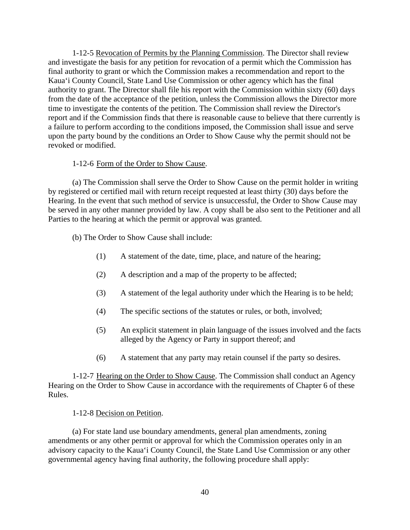1-12-5 Revocation of Permits by the Planning Commission. The Director shall review and investigate the basis for any petition for revocation of a permit which the Commission has final authority to grant or which the Commission makes a recommendation and report to the Kaua'i County Council, State Land Use Commission or other agency which has the final authority to grant. The Director shall file his report with the Commission within sixty (60) days from the date of the acceptance of the petition, unless the Commission allows the Director more time to investigate the contents of the petition. The Commission shall review the Director's report and if the Commission finds that there is reasonable cause to believe that there currently is a failure to perform according to the conditions imposed, the Commission shall issue and serve upon the party bound by the conditions an Order to Show Cause why the permit should not be revoked or modified.

### 1-12-6 Form of the Order to Show Cause.

(a) The Commission shall serve the Order to Show Cause on the permit holder in writing by registered or certified mail with return receipt requested at least thirty (30) days before the Hearing. In the event that such method of service is unsuccessful, the Order to Show Cause may be served in any other manner provided by law. A copy shall be also sent to the Petitioner and all Parties to the hearing at which the permit or approval was granted.

(b) The Order to Show Cause shall include:

- (1) A statement of the date, time, place, and nature of the hearing;
- (2) A description and a map of the property to be affected;
- (3) A statement of the legal authority under which the Hearing is to be held;
- (4) The specific sections of the statutes or rules, or both, involved;
- (5) An explicit statement in plain language of the issues involved and the facts alleged by the Agency or Party in support thereof; and
- (6) A statement that any party may retain counsel if the party so desires.

1-12-7 Hearing on the Order to Show Cause. The Commission shall conduct an Agency Hearing on the Order to Show Cause in accordance with the requirements of Chapter 6 of these Rules.

### 1-12-8 Decision on Petition.

(a) For state land use boundary amendments, general plan amendments, zoning amendments or any other permit or approval for which the Commission operates only in an advisory capacity to the Kaua'i County Council, the State Land Use Commission or any other governmental agency having final authority, the following procedure shall apply: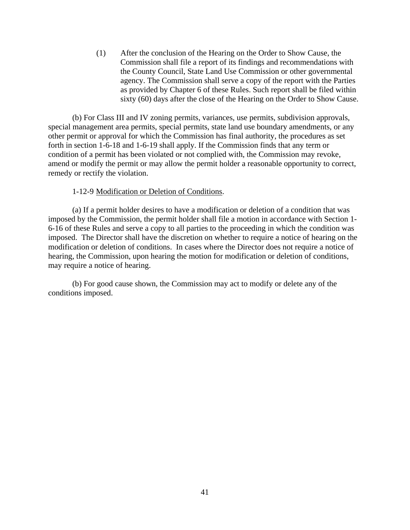(1) After the conclusion of the Hearing on the Order to Show Cause, the Commission shall file a report of its findings and recommendations with the County Council, State Land Use Commission or other governmental agency. The Commission shall serve a copy of the report with the Parties as provided by Chapter 6 of these Rules. Such report shall be filed within sixty (60) days after the close of the Hearing on the Order to Show Cause.

(b) For Class III and IV zoning permits, variances, use permits, subdivision approvals, special management area permits, special permits, state land use boundary amendments, or any other permit or approval for which the Commission has final authority, the procedures as set forth in section 1-6-18 and 1-6-19 shall apply. If the Commission finds that any term or condition of a permit has been violated or not complied with, the Commission may revoke, amend or modify the permit or may allow the permit holder a reasonable opportunity to correct, remedy or rectify the violation.

### 1-12-9 Modification or Deletion of Conditions.

(a) If a permit holder desires to have a modification or deletion of a condition that was imposed by the Commission, the permit holder shall file a motion in accordance with Section 1- 6-16 of these Rules and serve a copy to all parties to the proceeding in which the condition was imposed. The Director shall have the discretion on whether to require a notice of hearing on the modification or deletion of conditions. In cases where the Director does not require a notice of hearing, the Commission, upon hearing the motion for modification or deletion of conditions, may require a notice of hearing.

(b) For good cause shown, the Commission may act to modify or delete any of the conditions imposed.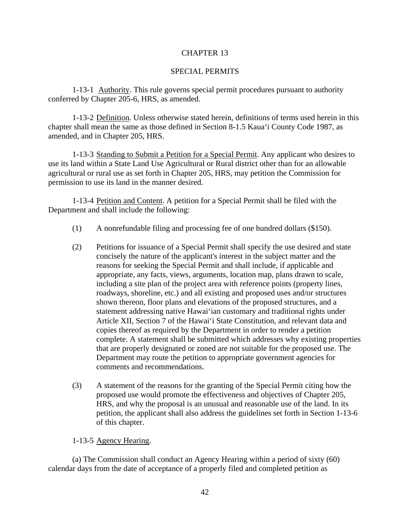### SPECIAL PERMITS

1-13-1 Authority. This rule governs special permit procedures pursuant to authority conferred by Chapter 205-6, HRS, as amended.

1-13-2 Definition. Unless otherwise stated herein, definitions of terms used herein in this chapter shall mean the same as those defined in Section 8-1.5 Kaua'i County Code 1987, as amended, and in Chapter 205, HRS.

1-13-3 Standing to Submit a Petition for a Special Permit. Any applicant who desires to use its land within a State Land Use Agricultural or Rural district other than for an allowable agricultural or rural use as set forth in Chapter 205, HRS, may petition the Commission for permission to use its land in the manner desired.

1-13-4 Petition and Content. A petition for a Special Permit shall be filed with the Department and shall include the following:

- (1) A nonrefundable filing and processing fee of one hundred dollars (\$150).
- (2) Petitions for issuance of a Special Permit shall specify the use desired and state concisely the nature of the applicant's interest in the subject matter and the reasons for seeking the Special Permit and shall include, if applicable and appropriate, any facts, views, arguments, location map, plans drawn to scale, including a site plan of the project area with reference points (property lines, roadways, shoreline, etc.) and all existing and proposed uses and/or structures shown thereon, floor plans and elevations of the proposed structures, and a statement addressing native Hawai'ian customary and traditional rights under Article XII, Section 7 of the Hawai'i State Constitution, and relevant data and copies thereof as required by the Department in order to render a petition complete. A statement shall be submitted which addresses why existing properties that are properly designated or zoned are not suitable for the proposed use. The Department may route the petition to appropriate government agencies for comments and recommendations.
- (3) A statement of the reasons for the granting of the Special Permit citing how the proposed use would promote the effectiveness and objectives of Chapter 205, HRS, and why the proposal is an unusual and reasonable use of the land. In its petition, the applicant shall also address the guidelines set forth in Section 1-13-6 of this chapter.

1-13-5 Agency Hearing.

(a) The Commission shall conduct an Agency Hearing within a period of sixty (60) calendar days from the date of acceptance of a properly filed and completed petition as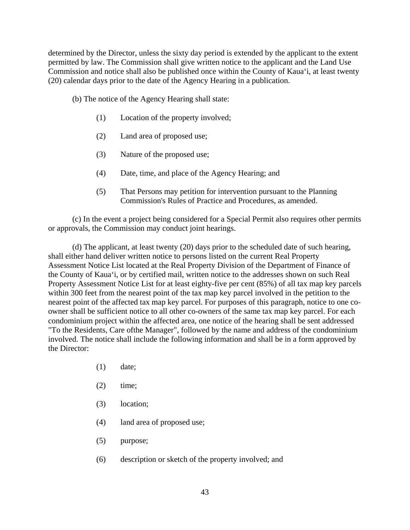determined by the Director, unless the sixty day period is extended by the applicant to the extent permitted by law. The Commission shall give written notice to the applicant and the Land Use Commission and notice shall also be published once within the County of Kaua'i, at least twenty (20) calendar days prior to the date of the Agency Hearing in a publication.

(b) The notice of the Agency Hearing shall state:

- (1) Location of the property involved;
- (2) Land area of proposed use;
- (3) Nature of the proposed use;
- (4) Date, time, and place of the Agency Hearing; and
- (5) That Persons may petition for intervention pursuant to the Planning Commission's Rules of Practice and Procedures, as amended.

(c) In the event a project being considered for a Special Permit also requires other permits or approvals, the Commission may conduct joint hearings.

(d) The applicant, at least twenty (20) days prior to the scheduled date of such hearing, shall either hand deliver written notice to persons listed on the current Real Property Assessment Notice List located at the Real Property Division of the Department of Finance of the County of Kaua'i, or by certified mail, written notice to the addresses shown on such Real Property Assessment Notice List for at least eighty-five per cent (85%) of all tax map key parcels within 300 feet from the nearest point of the tax map key parcel involved in the petition to the nearest point of the affected tax map key parcel. For purposes of this paragraph, notice to one coowner shall be sufficient notice to all other co-owners of the same tax map key parcel. For each condominium project within the affected area, one notice of the hearing shall be sent addressed "To the Residents, Care ofthe Manager", followed by the name and address of the condominium involved. The notice shall include the following information and shall be in a form approved by the Director:

- (1) date;
- $(2)$  time;
- (3) location;
- (4) land area of proposed use;
- (5) purpose;
- (6) description or sketch of the property involved; and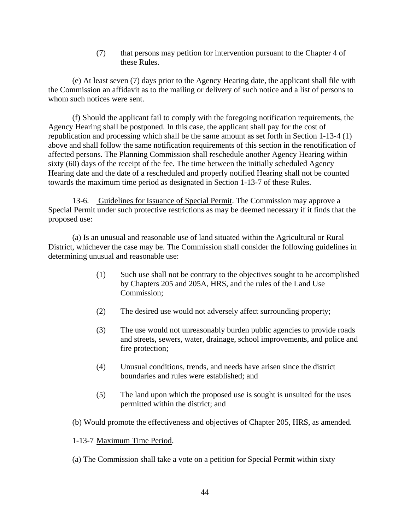(7) that persons may petition for intervention pursuant to the Chapter 4 of these Rules.

(e) At least seven (7) days prior to the Agency Hearing date, the applicant shall file with the Commission an affidavit as to the mailing or delivery of such notice and a list of persons to whom such notices were sent.

(f) Should the applicant fail to comply with the foregoing notification requirements, the Agency Hearing shall be postponed. In this case, the applicant shall pay for the cost of republication and processing which shall be the same amount as set forth in Section 1-13-4 (1) above and shall follow the same notification requirements of this section in the renotification of affected persons. The Planning Commission shall reschedule another Agency Hearing within sixty (60) days of the receipt of the fee. The time between the initially scheduled Agency Hearing date and the date of a rescheduled and properly notified Hearing shall not be counted towards the maximum time period as designated in Section 1-13-7 of these Rules.

13-6. Guidelines for Issuance of Special Permit. The Commission may approve a Special Permit under such protective restrictions as may be deemed necessary if it finds that the proposed use:

(a) Is an unusual and reasonable use of land situated within the Agricultural or Rural District, whichever the case may be. The Commission shall consider the following guidelines in determining unusual and reasonable use:

- (1) Such use shall not be contrary to the objectives sought to be accomplished by Chapters 205 and 205A, HRS, and the rules of the Land Use Commission;
- (2) The desired use would not adversely affect surrounding property;
- (3) The use would not unreasonably burden public agencies to provide roads and streets, sewers, water, drainage, school improvements, and police and fire protection;
- (4) Unusual conditions, trends, and needs have arisen since the district boundaries and rules were established; and
- (5) The land upon which the proposed use is sought is unsuited for the uses permitted within the district; and
- (b) Would promote the effectiveness and objectives of Chapter 205, HRS, as amended.
- 1-13-7 Maximum Time Period.
- (a) The Commission shall take a vote on a petition for Special Permit within sixty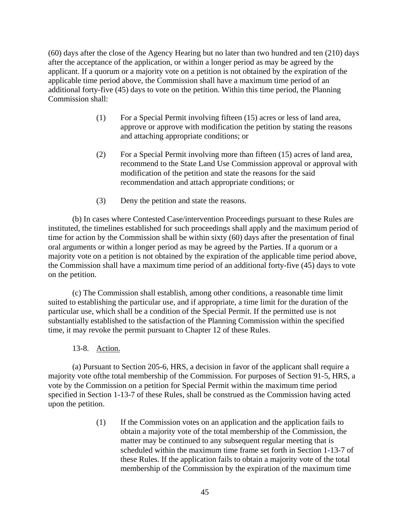(60) days after the close of the Agency Hearing but no later than two hundred and ten (210) days after the acceptance of the application, or within a longer period as may be agreed by the applicant. If a quorum or a majority vote on a petition is not obtained by the expiration of the applicable time period above, the Commission shall have a maximum time period of an additional forty-five (45) days to vote on the petition. Within this time period, the Planning Commission shall:

- (1) For a Special Permit involving fifteen (15) acres or less of land area, approve or approve with modification the petition by stating the reasons and attaching appropriate conditions; or
- (2) For a Special Permit involving more than fifteen (15) acres of land area, recommend to the State Land Use Commission approval or approval with modification of the petition and state the reasons for the said recommendation and attach appropriate conditions; or
- (3) Deny the petition and state the reasons.

(b) In cases where Contested Case/intervention Proceedings pursuant to these Rules are instituted, the timelines established for such proceedings shall apply and the maximum period of time for action by the Commission shall be within sixty (60) days after the presentation of final oral arguments or within a longer period as may be agreed by the Parties. If a quorum or a majority vote on a petition is not obtained by the expiration of the applicable time period above, the Commission shall have a maximum time period of an additional forty-five (45) days to vote on the petition.

(c) The Commission shall establish, among other conditions, a reasonable time limit suited to establishing the particular use, and if appropriate, a time limit for the duration of the particular use, which shall be a condition of the Special Permit. If the permitted use is not substantially established to the satisfaction of the Planning Commission within the specified time, it may revoke the permit pursuant to Chapter 12 of these Rules.

13-8. Action.

(a) Pursuant to Section 205-6, HRS, a decision in favor of the applicant shall require a majority vote ofthe total membership of the Commission. For purposes of Section 91-5, HRS, a vote by the Commission on a petition for Special Permit within the maximum time period specified in Section 1-13-7 of these Rules, shall be construed as the Commission having acted upon the petition.

> (1) If the Commission votes on an application and the application fails to obtain a majority vote of the total membership of the Commission, the matter may be continued to any subsequent regular meeting that is scheduled within the maximum time frame set forth in Section 1-13-7 of these Rules. If the application fails to obtain a majority vote of the total membership of the Commission by the expiration of the maximum time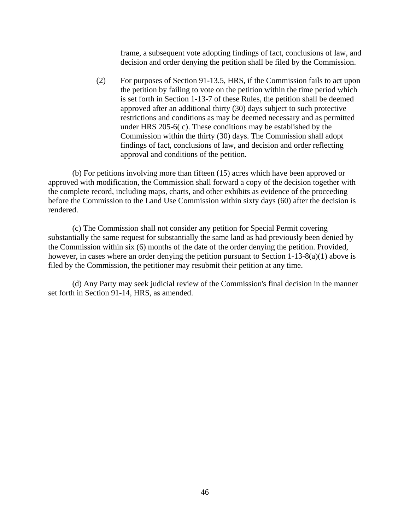frame, a subsequent vote adopting findings of fact, conclusions of law, and decision and order denying the petition shall be filed by the Commission.

(2) For purposes of Section 91-13.5, HRS, if the Commission fails to act upon the petition by failing to vote on the petition within the time period which is set forth in Section 1-13-7 of these Rules, the petition shall be deemed approved after an additional thirty (30) days subject to such protective restrictions and conditions as may be deemed necessary and as permitted under HRS 205-6( c). These conditions may be established by the Commission within the thirty (30) days. The Commission shall adopt findings of fact, conclusions of law, and decision and order reflecting approval and conditions of the petition.

(b) For petitions involving more than fifteen (15) acres which have been approved or approved with modification, the Commission shall forward a copy of the decision together with the complete record, including maps, charts, and other exhibits as evidence of the proceeding before the Commission to the Land Use Commission within sixty days (60) after the decision is rendered.

(c) The Commission shall not consider any petition for Special Permit covering substantially the same request for substantially the same land as had previously been denied by the Commission within six (6) months of the date of the order denying the petition. Provided, however, in cases where an order denying the petition pursuant to Section 1-13-8(a)(1) above is filed by the Commission, the petitioner may resubmit their petition at any time.

(d) Any Party may seek judicial review of the Commission's final decision in the manner set forth in Section 91-14, HRS, as amended.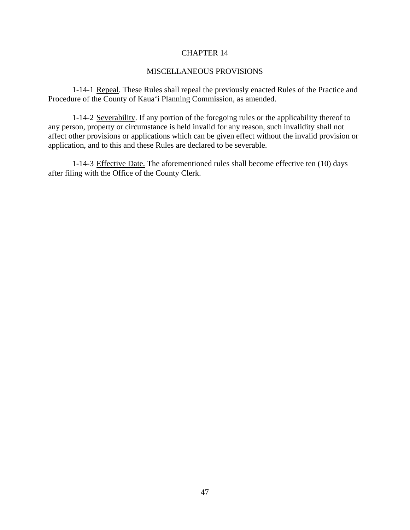### MISCELLANEOUS PROVISIONS

1-14-1 Repeal. These Rules shall repeal the previously enacted Rules of the Practice and Procedure of the County of Kaua'i Planning Commission, as amended.

1-14-2 Severability. If any portion of the foregoing rules or the applicability thereof to any person, property or circumstance is held invalid for any reason, such invalidity shall not affect other provisions or applications which can be given effect without the invalid provision or application, and to this and these Rules are declared to be severable.

1-14-3 Effective Date. The aforementioned rules shall become effective ten (10) days after filing with the Office of the County Clerk.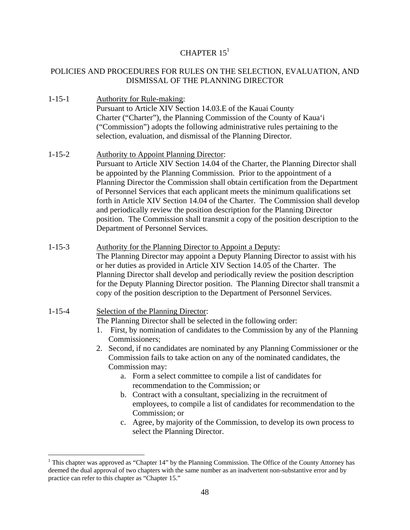# CHAPTER  $15<sup>1</sup>$

# POLICIES AND PROCEDURES FOR RULES ON THE SELECTION, EVALUATION, AND DISMISSAL OF THE PLANNING DIRECTOR

- 1-15-1 Authority for Rule-making: Pursuant to Article XIV Section 14.03.E of the Kauai County Charter ("Charter"), the Planning Commission of the County of Kaua'i ("Commission") adopts the following administrative rules pertaining to the selection, evaluation, and dismissal of the Planning Director.
- 1-15-2 Authority to Appoint Planning Director: Pursuant to Article XIV Section 14.04 of the Charter, the Planning Director shall be appointed by the Planning Commission. Prior to the appointment of a Planning Director the Commission shall obtain certification from the Department of Personnel Services that each applicant meets the minimum qualifications set forth in Article XIV Section 14.04 of the Charter. The Commission shall develop and periodically review the position description for the Planning Director position. The Commission shall transmit a copy of the position description to the Department of Personnel Services.
- 1-15-3 Authority for the Planning Director to Appoint a Deputy: The Planning Director may appoint a Deputy Planning Director to assist with his or her duties as provided in Article XIV Section 14.05 of the Charter. The Planning Director shall develop and periodically review the position description for the Deputy Planning Director position. The Planning Director shall transmit a copy of the position description to the Department of Personnel Services.

# 1-15-4 Selection of the Planning Director:

1

The Planning Director shall be selected in the following order:

- 1. First, by nomination of candidates to the Commission by any of the Planning Commissioners;
- 2. Second, if no candidates are nominated by any Planning Commissioner or the Commission fails to take action on any of the nominated candidates, the Commission may:
	- a. Form a select committee to compile a list of candidates for recommendation to the Commission; or
	- b. Contract with a consultant, specializing in the recruitment of employees, to compile a list of candidates for recommendation to the Commission; or
	- c. Agree, by majority of the Commission, to develop its own process to select the Planning Director.

<sup>&</sup>lt;sup>1</sup> This chapter was approved as "Chapter 14" by the Planning Commission. The Office of the County Attorney has deemed the dual approval of two chapters with the same number as an inadvertent non-substantive error and by practice can refer to this chapter as "Chapter 15."